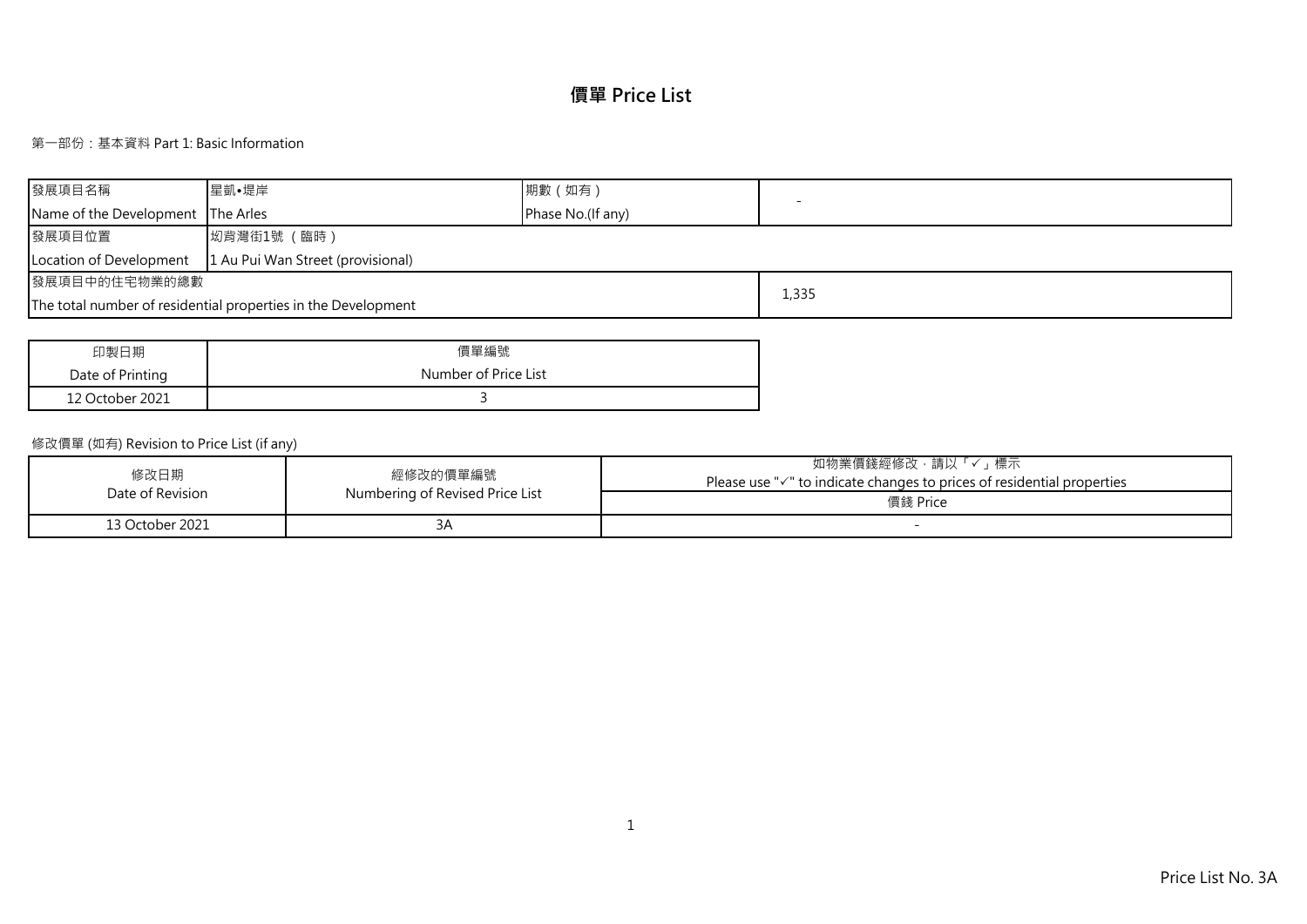# **價單 Price List**

## 第一部份:基本資料 Part 1: Basic Information

| 發展項目名稱                                                       | 星凱•堤岸                                                         | 期數 (如有)           |       |  |  |  |  |  |  |
|--------------------------------------------------------------|---------------------------------------------------------------|-------------------|-------|--|--|--|--|--|--|
| Name of the Development The Arles                            |                                                               | Phase No.(If any) |       |  |  |  |  |  |  |
| 發展項目位置                                                       | 坳背灣街1號 (臨時)                                                   |                   |       |  |  |  |  |  |  |
| 1 Au Pui Wan Street (provisional)<br>Location of Development |                                                               |                   |       |  |  |  |  |  |  |
| 發展項目中的住宅物業的總數                                                |                                                               |                   |       |  |  |  |  |  |  |
|                                                              | The total number of residential properties in the Development |                   | 1,335 |  |  |  |  |  |  |

| 印製日期             | 價單編號                 |
|------------------|----------------------|
| Date of Printing | Number of Price List |
| 12 October 2021  |                      |

## 修改價單 (如有) Revision to Price List (if any)

| 修改日期<br>Date of Revision | 經修改的價單編號<br>Numbering of Revised Price List | 、標示<br>如物業價錢經修改<br>,請以<br>Please use " $\checkmark$ " to indicate changes to prices of residential properties<br>價錢 Price |
|--------------------------|---------------------------------------------|---------------------------------------------------------------------------------------------------------------------------|
| 13 October 2021          | ≺ ∆<br>◡                                    |                                                                                                                           |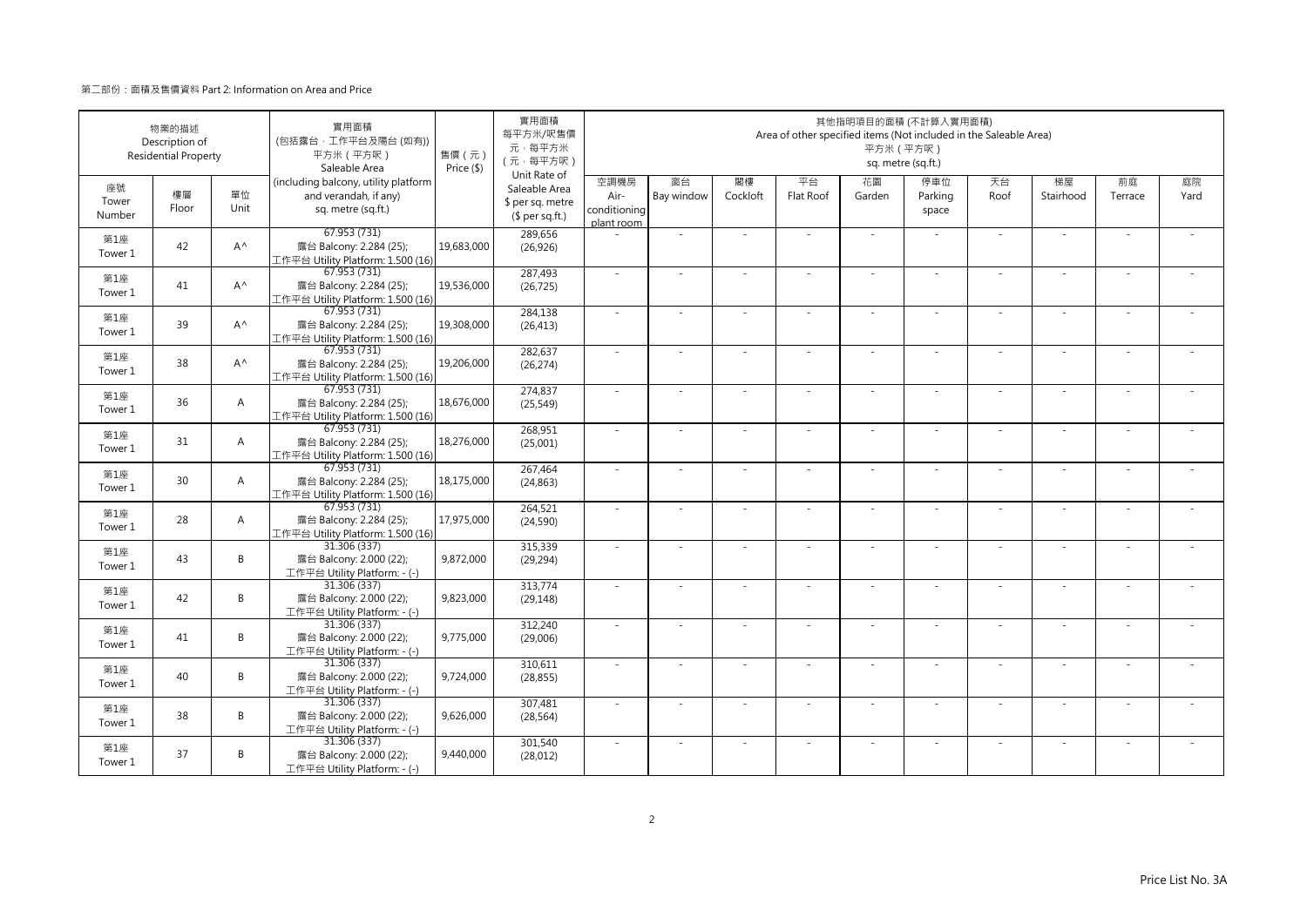|                       | 物業的描述<br>Description of<br><b>Residential Property</b> |                | 實用面積<br>(包括露台·工作平台及陽台(如有))<br>平方米 (平方呎)<br>Saleable Area                            | 售價 (元)<br>Price (\$) | 實用面積<br>每平方米/呎售價<br>元·每平方米<br>(元·每平方呎)                               |                                            |                  |                | Area of other specified items (Not included in the Saleable Area) | 平方米 (平方呎)    | 其他指明項目的面積 (不計算入實用面積)<br>sq. metre (sq.ft.) |            |                 |               |            |
|-----------------------|--------------------------------------------------------|----------------|-------------------------------------------------------------------------------------|----------------------|----------------------------------------------------------------------|--------------------------------------------|------------------|----------------|-------------------------------------------------------------------|--------------|--------------------------------------------|------------|-----------------|---------------|------------|
| 座號<br>Tower<br>Number | 樓層<br>Floor                                            | 單位<br>Unit     | (including balcony, utility platform<br>and verandah, if any)<br>sq. metre (sq.ft.) |                      | Unit Rate of<br>Saleable Area<br>\$ per sq. metre<br>$$$ per sq.ft.) | 空調機房<br>Air-<br>conditioning<br>plant room | 窗台<br>Bay window | 閣樓<br>Cockloft | 平台<br>Flat Roof                                                   | 花園<br>Garden | 停車位<br>Parking<br>space                    | 天台<br>Roof | 梯屋<br>Stairhood | 前庭<br>Terrace | 庭院<br>Yard |
| 第1座<br>Tower 1        | 42                                                     | $A^{\wedge}$   | 67.953 (731)<br>露台 Balcony: 2.284 (25);<br>工作平台 Utility Platform: 1.500 (16)        | 19,683,000           | 289,656<br>(26, 926)                                                 |                                            | ×.               |                | ÷.                                                                | ÷.           | $\sim$                                     | $\sim$     | $\sim$          |               |            |
| 第1座<br>Tower 1        | 41                                                     | $A^{\wedge}$   | 67.953 (731)<br>露台 Balcony: 2.284 (25);<br>工作平台 Utility Platform: 1.500 (16)        | 19,536,000           | 287,493<br>(26, 725)                                                 | $\sim$                                     | $\sim$           | $\sim$         | $\sim$                                                            | ×.           | $\sim$                                     | $\sim$     | $\sim$          | $\sim$        |            |
| 第1座<br>Tower 1        | 39                                                     | $A^{\wedge}$   | 67.953 (731)<br>露台 Balcony: 2.284 (25);<br>工作平台 Utility Platform: 1.500 (16)        | 19,308,000           | 284,138<br>(26, 413)                                                 | $\sim$                                     | ×.               |                | ÷.                                                                | ÷.           |                                            | ×.         | ÷               |               |            |
| 第1座<br>Tower 1        | 38                                                     | $A^{\wedge}$   | 67.953(731)<br>露台 Balcony: 2.284 (25);<br>工作平台 Utility Platform: 1.500 (16)         | 19,206,000           | 282,637<br>(26, 274)                                                 | $\sim$                                     | ä,               |                |                                                                   | ä,           |                                            | ×.         | ×.              |               |            |
| 第1座<br>Tower 1        | 36                                                     | $\overline{A}$ | 67.953 (731)<br>露台 Balcony: 2.284 (25);<br>工作平台 Utility Platform: 1.500 (16)        | 18,676,000           | 274,837<br>(25, 549)                                                 | $\sim$                                     | ×.               |                | ÷.                                                                | ÷.           | $\sim$                                     | $\sim$     | $\sim$          |               |            |
| 第1座<br>Tower 1        | 31                                                     | A              | 67.953 (731)<br>露台 Balcony: 2.284 (25);<br>工作平台 Utility Platform: 1.500 (16)        | 18,276,000           | 268,951<br>(25,001)                                                  | $\sim$                                     | $\sim$           |                | $\sim$                                                            | ÷,           |                                            | $\sim$     | ×.              |               |            |
| 第1座<br>Tower 1        | 30                                                     | $\overline{A}$ | 67.953 (731)<br>露台 Balcony: 2.284 (25);<br>工作平台 Utility Platform: 1.500 (16)        | 18,175,000           | 267,464<br>(24, 863)                                                 | $\sim$                                     | $\sim$           | $\sim$         | ×                                                                 | ÷.           | $\sim$                                     | $\sim$     | $\bar{a}$       | $\sim$        |            |
| 第1座<br>Tower 1        | 28                                                     | $\overline{A}$ | 67.953 (731)<br>露台 Balcony: 2.284 (25);<br>工作平台 Utility Platform: 1.500 (16)        | 17,975,000           | 264,521<br>(24, 590)                                                 | ×.                                         |                  |                |                                                                   | ÷,           |                                            | $\sim$     |                 |               |            |
| 第1座<br>Tower 1        | 43                                                     | B              | 31.306 (337)<br>露台 Balcony: 2.000 (22);<br>工作平台 Utility Platform: - (-)             | 9,872,000            | 315,339<br>(29, 294)                                                 | ×.                                         | $\sim$           |                |                                                                   |              |                                            | $\sim$     | $\sim$          |               |            |
| 第1座<br>Tower 1        | 42                                                     | B              | 31.306 (337)<br>露台 Balcony: 2.000 (22);<br>工作平台 Utility Platform: - (-)             | 9,823,000            | 313,774<br>(29, 148)                                                 | $\sim$                                     | ×.               |                | ÷.                                                                | ÷.           | $\sim$                                     | $\sim$     | ×.              | $\sim$        |            |
| 第1座<br>Tower 1        | 41                                                     | B              | 31.306 (337)<br>露台 Balcony: 2.000 (22);<br>工作平台 Utility Platform: - (-)             | 9,775,000            | 312,240<br>(29,006)                                                  |                                            |                  |                |                                                                   |              |                                            | $\sim$     | ä,              |               |            |
| 第1座<br>Tower 1        | 40                                                     | B              | 31.306 (337)<br>露台 Balcony: 2.000 (22);<br>工作平台 Utility Platform: - (-)             | 9,724,000            | 310,611<br>(28, 855)                                                 | $\sim$                                     | ×.               |                | $\sim$                                                            | ÷.           | $\sim$                                     | ×.         | ×.              |               |            |
| 第1座<br>Tower 1        | 38                                                     | B              | 31.306 (337)<br>露台 Balcony: 2.000 (22);<br>工作平台 Utility Platform: - (-)             | 9,626,000            | 307,481<br>(28, 564)                                                 | $\sim$                                     | ÷,               |                | $\overline{\phantom{a}}$                                          | ÷,           | $\sim$                                     | $\sim$     | ÷,              |               |            |
| 第1座<br>Tower 1        | 37                                                     | B              | 31.306 (337)<br>露台 Balcony: 2.000 (22);<br>工作平台 Utility Platform: - (-)             | 9,440,000            | 301,540<br>(28, 012)                                                 | ×.                                         |                  |                |                                                                   |              |                                            | $\sim$     | J,              |               |            |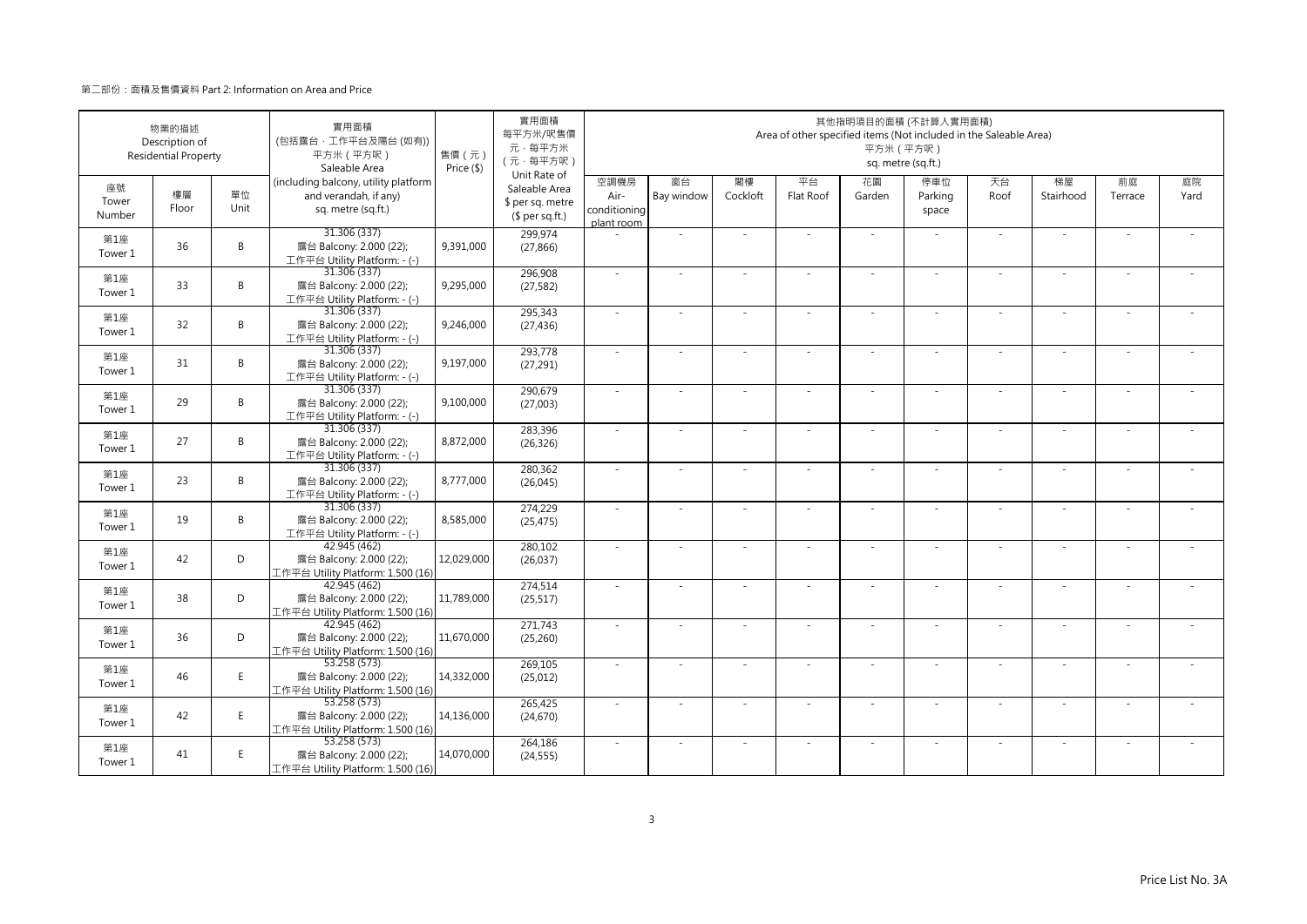|                       | 物業的描述<br>Description of<br><b>Residential Property</b> |            | 實用面積<br>(包括露台·工作平台及陽台(如有))<br>平方米 (平方呎)<br>Saleable Area                            | 售價 (元)<br>Price (\$) | 實用面積<br>每平方米/呎售價<br>元·每平方米<br>(元·每平方呎)                               |                                            |                  |                | Area of other specified items (Not included in the Saleable Area) | 平方米 (平方呎)    | 其他指明項目的面積 (不計算入實用面積)<br>sq. metre (sq.ft.) |            |                 |               |            |
|-----------------------|--------------------------------------------------------|------------|-------------------------------------------------------------------------------------|----------------------|----------------------------------------------------------------------|--------------------------------------------|------------------|----------------|-------------------------------------------------------------------|--------------|--------------------------------------------|------------|-----------------|---------------|------------|
| 座號<br>Tower<br>Number | 樓層<br>Floor                                            | 單位<br>Unit | (including balcony, utility platform<br>and verandah, if any)<br>sq. metre (sq.ft.) |                      | Unit Rate of<br>Saleable Area<br>\$ per sq. metre<br>$$$ per sq.ft.) | 空調機房<br>Air-<br>conditioning<br>plant room | 窗台<br>Bay window | 閣樓<br>Cockloft | 平台<br>Flat Roof                                                   | 花園<br>Garden | 停車位<br>Parking<br>space                    | 天台<br>Roof | 梯屋<br>Stairhood | 前庭<br>Terrace | 庭院<br>Yard |
| 第1座<br>Tower 1        | 36                                                     | B          | 31.306 (337)<br>露台 Balcony: 2.000 (22);<br>工作平台 Utility Platform: - (-)             | 9,391,000            | 299,974<br>(27, 866)                                                 |                                            | ×.               |                | ÷.                                                                | $\sim$       | $\sim$                                     | $\sim$     | $\sim$          |               |            |
| 第1座<br>Tower 1        | 33                                                     | B          | 31.306 (337)<br>露台 Balcony: 2.000 (22);<br>工作平台 Utility Platform: - (-)             | 9,295,000            | 296,908<br>(27, 582)                                                 | $\sim$                                     | ×.               | $\sim$         | $\sim$                                                            | ×.           | $\sim$                                     | $\sim$     | $\sim$          | $\sim$        | ÷.         |
| 第1座<br>Tower 1        | 32                                                     | B          | 31.306 (337)<br>露台 Balcony: 2.000 (22);<br>工作平台 Utility Platform: - (-)             | 9,246,000            | 295,343<br>(27, 436)                                                 | $\sim$                                     | ×.               |                | ÷.                                                                | $\sim$       |                                            | $\sim$     | ÷.              |               |            |
| 第1座<br>Tower 1        | 31                                                     | B          | 31.306 (337)<br>露台 Balcony: 2.000 (22);<br>工作平台 Utility Platform: - (-)             | 9,197,000            | 293,778<br>(27, 291)                                                 | ×.                                         | $\sim$           |                |                                                                   | ÷,           |                                            | $\sim$     | ٠               |               |            |
| 第1座<br>Tower 1        | 29                                                     | B          | 31.306 (337)<br>露台 Balcony: 2.000 (22);<br>工作平台 Utility Platform: - (-)             | 9,100,000            | 290,679<br>(27,003)                                                  | $\sim$                                     | $\sim$           |                | $\overline{\phantom{a}}$                                          | $\sim$       | $\sim$                                     | $\sim$     | $\sim$          |               |            |
| 第1座<br>Tower 1        | 27                                                     | B          | 31.306 (337)<br>露台 Balcony: 2.000 (22);<br>工作平台 Utility Platform: - (-)             | 8,872,000            | 283,396<br>(26, 326)                                                 |                                            |                  |                |                                                                   |              |                                            | $\sim$     | ä,              |               |            |
| 第1座<br>Tower 1        | 23                                                     | B          | 31.306 (337)<br>露台 Balcony: 2.000 (22);<br>工作平台 Utility Platform: - (-)             | 8,777,000            | 280,362<br>(26, 045)                                                 | $\sim$                                     | ×.               | $\sim$         | ÷.                                                                | ÷.           | $\sim$                                     | $\sim$     | $\sim$          | $\sim$        | $\sim$     |
| 第1座<br>Tower 1        | 19                                                     | B          | 31.306 (337)<br>露台 Balcony: 2.000 (22);<br>工作平台 Utility Platform: - (-)             | 8,585,000            | 274,229<br>(25, 475)                                                 | $\sim$                                     |                  |                |                                                                   |              |                                            | $\sim$     |                 |               |            |
| 第1座<br>Tower 1        | 42                                                     | D          | 42.945 (462)<br>露台 Balcony: 2.000 (22);<br>工作平台 Utility Platform: 1.500 (16)        | 12,029,000           | 280,102<br>(26, 037)                                                 | ×.                                         | ×.               |                | ÷.                                                                | ÷.           |                                            | ×.         | ×.              |               |            |
| 第1座<br>Tower 1        | 38                                                     | D          | 42.945 (462)<br>露台 Balcony: 2.000 (22);<br>工作平台 Utility Platform: 1.500 (16)        | 11,789,000           | 274,514<br>(25, 517)                                                 | $\sim$                                     | $\sim$           |                | ÷.                                                                | ÷.           | ×.                                         | $\sim$     | $\sim$          |               |            |
| 第1座<br>Tower 1        | 36                                                     | D          | 42.945 (462)<br>露台 Balcony: 2.000 (22);<br>工作平台 Utility Platform: 1.500 (16)        | 11,670,000           | 271,743<br>(25, 260)                                                 | $\sim$                                     | ×.               |                | ÷.                                                                | ÷.           |                                            | ×.         | ×.              |               |            |
| 第1座<br>Tower 1        | 46                                                     | E          | 53.258 (573)<br>露台 Balcony: 2.000 (22);<br>工作平台 Utility Platform: 1.500 (16)        | 14,332,000           | 269,105<br>(25, 012)                                                 | $\sim$                                     | $\sim$           | $\sim$         | ÷,                                                                | ÷,           | $\sim$                                     | $\sim$     | $\sim$          |               |            |
| 第1座<br>Tower 1        | 42                                                     | E          | 53.258 (573)<br>露台 Balcony: 2.000 (22);<br>工作平台 Utility Platform: 1.500 (16)        | 14,136,000           | 265,425<br>(24, 670)                                                 | $\sim$                                     |                  |                |                                                                   |              |                                            | ×.         |                 |               |            |
| 第1座<br>Tower 1        | 41                                                     | E.         | 53.258(573)<br>露台 Balcony: 2.000 (22);<br>工作平台 Utility Platform: 1.500 (16)         | 14,070,000           | 264,186<br>(24, 555)                                                 | ×.                                         | $\sim$           |                | $\sim$                                                            | $\sim$       |                                            | ×.         | $\sim$          |               |            |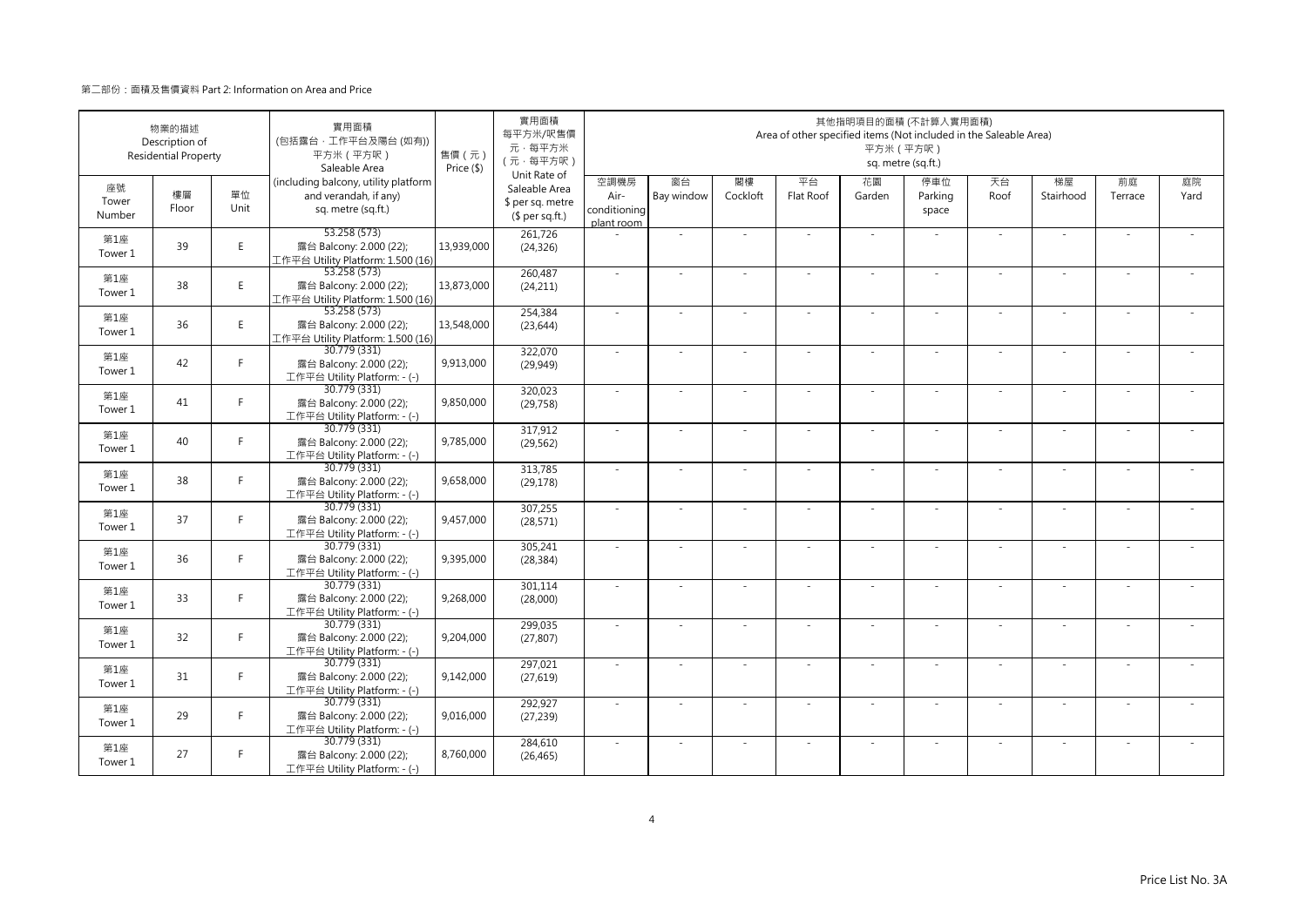|                       | 物業的描述<br>Description of<br><b>Residential Property</b> |            | 實用面積<br>(包括露台·工作平台及陽台 (如有))<br>平方米 (平方呎)<br>Saleable Area                           | 售價 (元)<br>Price (\$) | 實用面積<br>每平方米/呎售價<br>元·每平方米<br>(元·每平方呎)                               |                                            |                  |                | Area of other specified items (Not included in the Saleable Area) | 平方米 (平方呎)                | 其他指明項目的面積 (不計算入實用面積)<br>sq. metre (sq.ft.) |            |                 |               |            |
|-----------------------|--------------------------------------------------------|------------|-------------------------------------------------------------------------------------|----------------------|----------------------------------------------------------------------|--------------------------------------------|------------------|----------------|-------------------------------------------------------------------|--------------------------|--------------------------------------------|------------|-----------------|---------------|------------|
| 座號<br>Tower<br>Number | 樓層<br>Floor                                            | 單位<br>Unit | (including balcony, utility platform<br>and verandah, if any)<br>sq. metre (sq.ft.) |                      | Unit Rate of<br>Saleable Area<br>\$ per sq. metre<br>$$$ per sq.ft.) | 空調機房<br>Air-<br>conditioning<br>plant room | 窗台<br>Bay window | 閣樓<br>Cockloft | 平台<br>Flat Roof                                                   | 花園<br>Garden             | 停車位<br>Parking<br>space                    | 天台<br>Roof | 梯屋<br>Stairhood | 前庭<br>Terrace | 庭院<br>Yard |
| 第1座<br>Tower 1        | 39                                                     | E.         | 53.258 (573)<br>露台 Balcony: 2.000 (22);<br>工作平台 Utility Platform: 1.500 (16)        | 13,939,000           | 261,726<br>(24, 326)                                                 |                                            | ä,               |                |                                                                   | ÷.                       |                                            | ×.         | ÷,              |               |            |
| 第1座<br>Tower 1        | 38                                                     | E          | 53.258 (573)<br>露台 Balcony: 2.000 (22);<br>工作平台 Utility Platform: 1.500 (16)        | 13,873,000           | 260,487<br>(24, 211)                                                 | ×.                                         | $\sim$           |                | ÷.                                                                | ÷.                       | $\sim$                                     | ×.         | $\sim$          |               |            |
| 第1座<br>Tower 1        | 36                                                     | E          | 53.258 (573)<br>露台 Balcony: 2.000 (22);<br>工作平台 Utility Platform: 1.500 (16)        | 13,548,000           | 254,384<br>(23, 644)                                                 | ×.                                         |                  |                |                                                                   |                          |                                            | $\sim$     |                 |               |            |
| 第1座<br>Tower 1        | 42                                                     | F.         | 30.779 (331)<br>露台 Balcony: 2.000 (22);<br>工作平台 Utility Platform: - (-)             | 9,913,000            | 322,070<br>(29, 949)                                                 | $\sim$                                     | $\sim$           |                | ÷,                                                                | ÷,                       |                                            | $\sim$     | $\sim$          |               |            |
| 第1座<br>Tower 1        | 41                                                     | F.         | 30.779 (331)<br>露台 Balcony: 2.000 (22);<br>工作平台 Utility Platform: - (-)             | 9,850,000            | 320,023<br>(29, 758)                                                 | $\sim$                                     | $\sim$           |                | $\overline{\phantom{a}}$                                          | $\overline{\phantom{a}}$ | $\sim$                                     | $\sim$     | $\sim$          |               |            |
| 第1座<br>Tower 1        | 40                                                     | F.         | 30.779 (331)<br>露台 Balcony: 2.000 (22);<br>工作平台 Utility Platform: - (-)             | 9,785,000            | 317,912<br>(29, 562)                                                 |                                            |                  |                |                                                                   |                          |                                            | $\sim$     | ä,              |               |            |
| 第1座<br>Tower 1        | 38                                                     | F.         | 30.779 (331)<br>露台 Balcony: 2.000 (22);<br>工作平台 Utility Platform: - (-)             | 9,658,000            | 313,785<br>(29, 178)                                                 | ×.                                         | ×.               |                | ÷.                                                                | ÷.                       | $\sim$                                     | ×.         | ×.              |               |            |
| 第1座<br>Tower 1        | 37                                                     | Е          | 30.779 (331)<br>露台 Balcony: 2.000 (22);<br>工作平台 Utility Platform: - (-)             | 9,457,000            | 307,255<br>(28, 571)                                                 | ×.                                         |                  |                |                                                                   |                          |                                            |            |                 |               |            |
| 第1座<br>Tower 1        | 36                                                     | F.         | 30.779 (331)<br>露台 Balcony: 2.000 (22);<br>工作平台 Utility Platform: - (-)             | 9,395,000            | 305,241<br>(28, 384)                                                 | ×.                                         | $\sim$           |                |                                                                   | ÷,                       |                                            | $\sim$     | $\sim$          |               |            |
| 第1座<br>Tower 1        | 33                                                     | F.         | 30.779 (331)<br>露台 Balcony: 2.000 (22);<br>工作平台 Utility Platform: - (-)             | 9,268,000            | 301,114<br>(28,000)                                                  | $\sim$                                     | $\sim$           | $\sim$         | ÷.                                                                | ÷.                       | $\sim$                                     | $\sim$     | $\sim$          | $\sim$        |            |
| 第1座<br>Tower 1        | 32                                                     | F.         | 30.779 (331)<br>露台 Balcony: 2.000 (22);<br>工作平台 Utility Platform: - (-)             | 9,204,000            | 299,035<br>(27, 807)                                                 |                                            |                  |                |                                                                   |                          |                                            |            |                 |               |            |
| 第1座<br>Tower 1        | 31                                                     | F.         | 30.779 (331)<br>露台 Balcony: 2.000 (22);<br>工作平台 Utility Platform: - (-)             | 9,142,000            | 297,021<br>(27, 619)                                                 | $\sim$                                     | $\sim$           |                | $\overline{\phantom{a}}$                                          | ÷.                       | $\sim$                                     | $\sim$     | $\sim$          |               |            |
| 第1座<br>Tower 1        | 29                                                     | F          | 30.779 (331)<br>露台 Balcony: 2.000 (22);<br>工作平台 Utility Platform: - (-)             | 9,016,000            | 292,927<br>(27, 239)                                                 | $\sim$                                     |                  |                |                                                                   | ٠                        |                                            | $\sim$     | ÷,              |               |            |
| 第1座<br>Tower 1        | 27                                                     | F.         | 30.779 (331)<br>露台 Balcony: 2.000 (22);<br>工作平台 Utility Platform: - (-)             | 8,760,000            | 284,610<br>(26, 465)                                                 | ×.                                         |                  |                |                                                                   |                          |                                            | $\sim$     | J,              |               |            |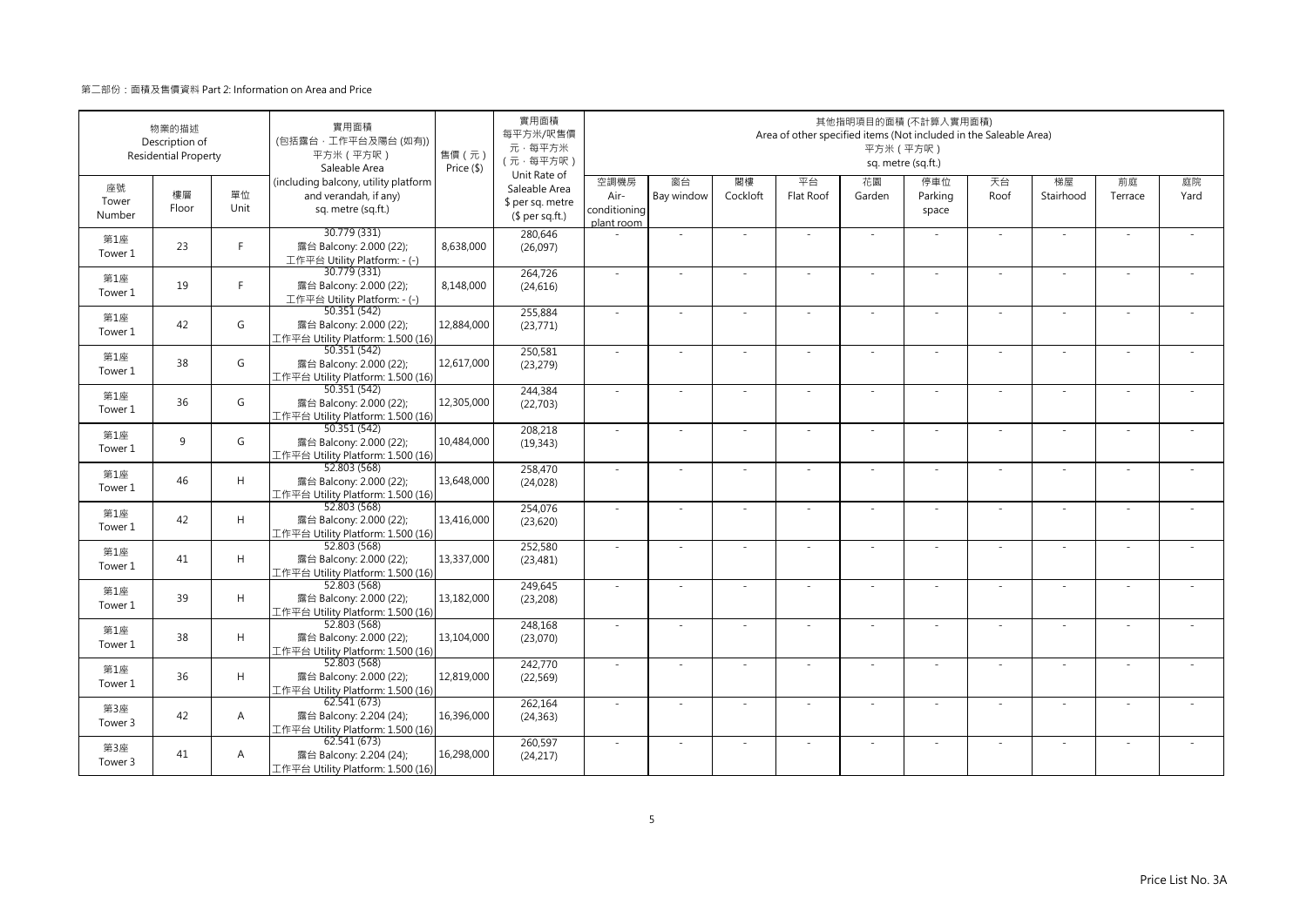|                       | 物業的描述<br>Description of<br><b>Residential Property</b> |                | 實用面積<br>(包括露台·工作平台及陽台(如有))<br>平方米 (平方呎)<br>Saleable Area                            | 售價 (元)<br>Price (\$) | 實用面積<br>每平方米/呎售價<br>元·每平方米<br>(元·每平方呎)<br>Unit Rate of |                                            |                  |                | Area of other specified items (Not included in the Saleable Area) | 平方米 (平方呎)    | 其他指明項目的面積 (不計算入實用面積)<br>sq. metre (sq.ft.) |            |                 |               |            |
|-----------------------|--------------------------------------------------------|----------------|-------------------------------------------------------------------------------------|----------------------|--------------------------------------------------------|--------------------------------------------|------------------|----------------|-------------------------------------------------------------------|--------------|--------------------------------------------|------------|-----------------|---------------|------------|
| 座號<br>Tower<br>Number | 樓層<br>Floor                                            | 單位<br>Unit     | (including balcony, utility platform<br>and verandah, if any)<br>sq. metre (sq.ft.) |                      | Saleable Area<br>\$ per sq. metre<br>$$$ per sq.ft.)   | 空調機房<br>Air-<br>conditioning<br>plant room | 窗台<br>Bay window | 閣樓<br>Cockloft | 平台<br>Flat Roof                                                   | 花園<br>Garden | 停車位<br>Parking<br>space                    | 天台<br>Roof | 梯屋<br>Stairhood | 前庭<br>Terrace | 庭院<br>Yard |
| 第1座<br>Tower 1        | 23                                                     | F              | 30.779 (331)<br>露台 Balcony: 2.000 (22);<br>工作平台 Utility Platform: - (-)             | 8,638,000            | 280,646<br>(26,097)                                    |                                            | ×.               |                | ÷.                                                                | $\sim$       |                                            | $\sim$     | $\sim$          |               |            |
| 第1座<br>Tower 1        | 19                                                     | F.             | 30.779 (331)<br>露台 Balcony: 2.000 (22);<br>工作平台 Utility Platform: - (-)             | 8,148,000            | 264,726<br>(24, 616)                                   | $\sim$                                     | ×.               | $\sim$         | $\sim$                                                            | ×.           | $\sim$                                     | $\sim$     | $\sim$          |               |            |
| 第1座<br>Tower 1        | 42                                                     | G              | 50.351 (542)<br>露台 Balcony: 2.000 (22);<br>工作平台 Utility Platform: 1.500 (16)        | 12,884,000           | 255,884<br>(23, 771)                                   | $\sim$                                     | ×.               |                | ÷.                                                                | ÷,           |                                            | $\sim$     | ÷.              |               |            |
| 第1座<br>Tower 1        | 38                                                     | G              | 50.351 (542)<br>露台 Balcony: 2.000 (22);<br>工作平台 Utility Platform: 1.500 (16)        | 12,617,000           | 250,581<br>(23, 279)                                   | ×.                                         | $\sim$           |                |                                                                   | ÷,           |                                            | $\sim$     | ٠               |               |            |
| 第1座<br>Tower 1        | 36                                                     | G              | 50.351 (542)<br>露台 Balcony: 2.000 (22);<br>工作平台 Utility Platform: 1.500 (16)        | 12,305,000           | 244,384<br>(22, 703)                                   | $\sim$                                     | $\sim$           |                | $\overline{\phantom{a}}$                                          | $\sim$       | $\sim$                                     | $\sim$     | $\sim$          |               |            |
| 第1座<br>Tower 1        | 9                                                      | G              | 50.351 (542)<br>露台 Balcony: 2.000 (22);<br>工作平台 Utility Platform: 1.500 (16)        | 10,484,000           | 208,218<br>(19, 343)                                   |                                            |                  |                |                                                                   |              |                                            |            | ä,              |               |            |
| 第1座<br>Tower 1        | 46                                                     | H              | 52.803 (568)<br>露台 Balcony: 2.000 (22);<br>工作平台 Utility Platform: 1.500 (16)        | 13,648,000           | 258,470<br>(24, 028)                                   | $\sim$                                     | ×.               | $\sim$         | ÷.                                                                | ÷.           | $\sim$                                     | $\sim$     | $\sim$          | $\sim$        | $\sim$     |
| 第1座<br>Tower 1        | 42                                                     | H              | 52.803(568)<br>露台 Balcony: 2.000 (22);<br>工作平台 Utility Platform: 1.500 (16)         | 13,416,000           | 254,076<br>(23,620)                                    | $\sim$                                     |                  |                |                                                                   |              |                                            | $\sim$     |                 |               |            |
| 第1座<br>Tower 1        | 41                                                     | H              | 52.803 (568)<br>露台 Balcony: 2.000 (22);<br>工作平台 Utility Platform: 1.500 (16)        | 13,337,000           | 252,580<br>(23, 481)                                   | ×.                                         | ×.               |                | ÷.                                                                | ÷.           |                                            | $\sim$     | ×.              |               |            |
| 第1座<br>Tower 1        | 39                                                     | H              | 52.803 (568)<br>露台 Balcony: 2.000 (22);<br>工作平台 Utility Platform: 1.500 (16)        | 13,182,000           | 249,645<br>(23, 208)                                   | $\sim$                                     | ×.               |                | ÷.                                                                | ÷.           | $\sim$                                     | $\sim$     | $\sim$          |               |            |
| 第1座<br>Tower 1        | 38                                                     | H              | 52.803 (568)<br>露台 Balcony: 2.000 (22);<br>工作平台 Utility Platform: 1.500 (16)        | 13,104,000           | 248,168<br>(23,070)                                    | $\sim$                                     | ×.               |                | ÷.                                                                | ÷,           |                                            | ×.         | ×.              |               |            |
| 第1座<br>Tower 1        | 36                                                     | H              | 52.803 (568)<br>露台 Balcony: 2.000 (22);<br>工作平台 Utility Platform: 1.500 (16)        | 12,819,000           | 242,770<br>(22, 569)                                   | $\sim$                                     | $\sim$           | $\sim$         | ÷,                                                                | ÷,           | $\sim$                                     | $\sim$     | $\sim$          |               |            |
| 第3座<br>Tower 3        | 42                                                     | A              | 62.541 (673)<br>露台 Balcony: 2.204 (24);<br>工作平台 Utility Platform: 1.500 (16)        | 16,396,000           | 262,164<br>(24, 363)                                   | ×.                                         |                  |                |                                                                   |              |                                            |            |                 |               |            |
| 第3座<br>Tower 3        | 41                                                     | $\overline{A}$ | 62.541(673)<br>露台 Balcony: 2.204 (24);<br>工作平台 Utility Platform: 1.500 (16)         | 16,298,000           | 260,597<br>(24, 217)                                   | $\sim$                                     | $\sim$           |                | $\sim$                                                            | $\sim$       |                                            | ×.         | $\sim$          |               |            |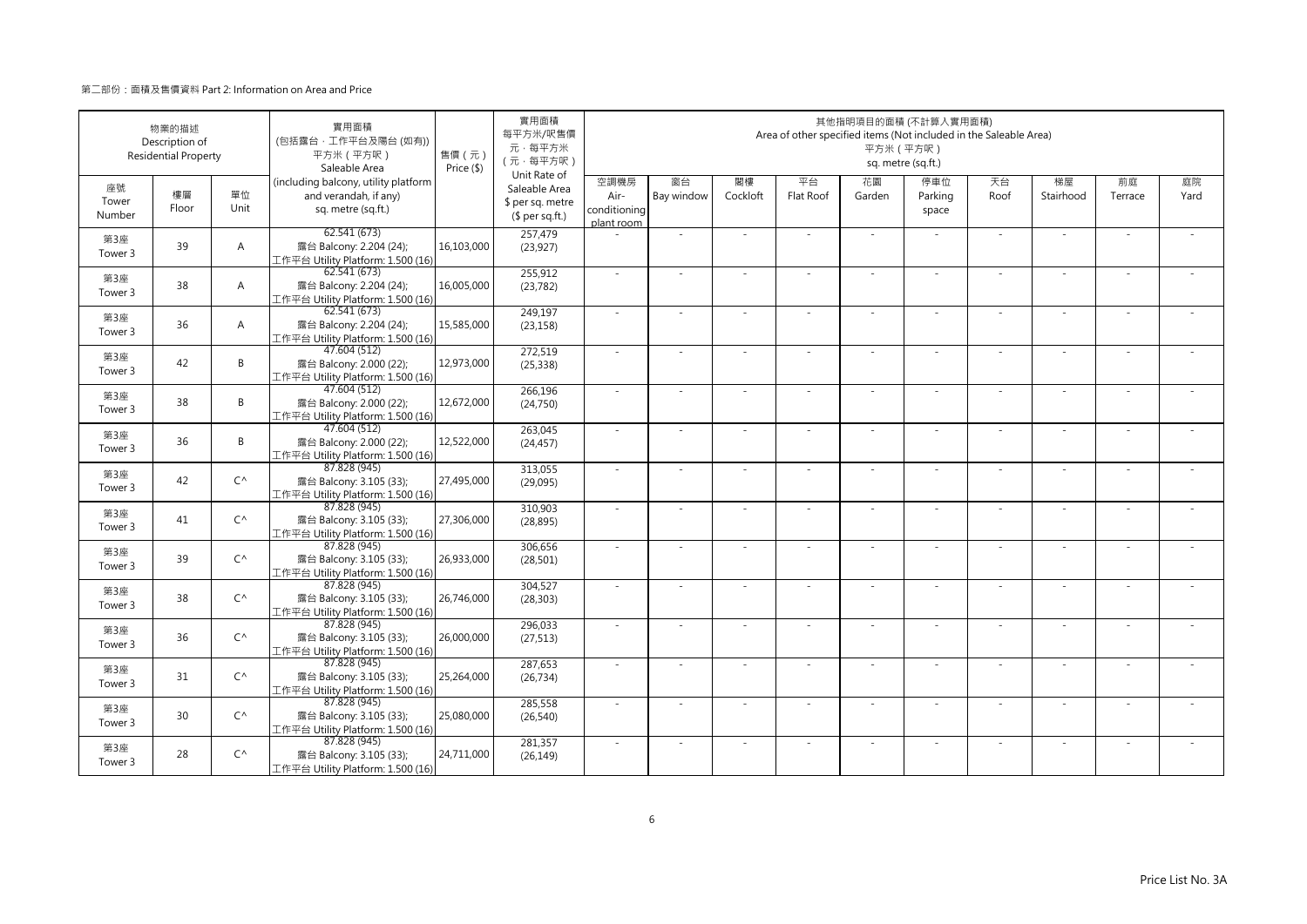|                       | 物業的描述<br>Description of<br><b>Residential Property</b> |                | 實用面積<br>(包括露台·工作平台及陽台 (如有))<br>平方米 (平方呎)<br>Saleable Area                           | 售價 (元)<br>Price (\$) | 實用面積<br>每平方米/呎售價<br>元·每平方米<br>(元·每平方呎)                               |                                            |                  |                | Area of other specified items (Not included in the Saleable Area) | 平方米 (平方呎)    | 其他指明項目的面積 (不計算入實用面積)<br>sq. metre (sq.ft.) |            |                 |               |            |
|-----------------------|--------------------------------------------------------|----------------|-------------------------------------------------------------------------------------|----------------------|----------------------------------------------------------------------|--------------------------------------------|------------------|----------------|-------------------------------------------------------------------|--------------|--------------------------------------------|------------|-----------------|---------------|------------|
| 座號<br>Tower<br>Number | 樓層<br>Floor                                            | 單位<br>Unit     | (including balcony, utility platform<br>and verandah, if any)<br>sq. metre (sq.ft.) |                      | Unit Rate of<br>Saleable Area<br>\$ per sq. metre<br>$$$ per sq.ft.) | 空調機房<br>Air-<br>conditioning<br>plant room | 窗台<br>Bay window | 閣樓<br>Cockloft | 平台<br>Flat Roof                                                   | 花園<br>Garden | 停車位<br>Parking<br>space                    | 天台<br>Roof | 梯屋<br>Stairhood | 前庭<br>Terrace | 庭院<br>Yard |
| 第3座<br>Tower 3        | 39                                                     | $\overline{A}$ | 62.541 (673)<br>露台 Balcony: 2.204 (24);<br>工作平台 Utility Platform: 1.500 (16)        | 16,103,000           | 257,479<br>(23, 927)                                                 |                                            | ä,               |                |                                                                   |              |                                            | ×.         | ä,              |               |            |
| 第3座<br>Tower 3        | 38                                                     | $\overline{A}$ | 62.541(673)<br>露台 Balcony: 2.204 (24);<br>工作平台 Utility Platform: 1.500 (16)         | 16,005,000           | 255,912<br>(23, 782)                                                 | ×.                                         | $\sim$           |                | ÷.                                                                | ÷.           | $\sim$                                     | ×.         | $\sim$          |               |            |
| 第3座<br>Tower 3        | 36                                                     | A              | 62.541 (673)<br>露台 Balcony: 2.204 (24);<br>工作平台 Utility Platform: 1.500 (16)        | 15,585,000           | 249,197<br>(23, 158)                                                 | ×.                                         |                  |                |                                                                   |              |                                            |            |                 |               |            |
| 第3座<br>Tower 3        | 42                                                     | B              | 47.604 (512)<br>露台 Balcony: 2.000 (22);<br>工作平台 Utility Platform: 1.500 (16)        | 12,973,000           | 272,519<br>(25, 338)                                                 | $\sim$                                     | $\sim$           |                |                                                                   | ÷,           |                                            | $\sim$     | $\sim$          |               |            |
| 第3座<br>Tower 3        | 38                                                     | B              | 47.604 (512)<br>露台 Balcony: 2.000 (22);<br>工作平台 Utility Platform: 1.500 (16)        | 12,672,000           | 266,196<br>(24, 750)                                                 | $\sim$                                     | $\sim$           |                | $\overline{\phantom{a}}$                                          | ÷.           | $\sim$                                     | $\sim$     | $\sim$          |               |            |
| 第3座<br>Tower 3        | 36                                                     | B              | 47.604 (512)<br>露台 Balcony: 2.000 (22);<br>工作平台 Utility Platform: 1.500 (16)        | 12,522,000           | 263,045<br>(24, 457)                                                 |                                            |                  |                |                                                                   |              |                                            | $\sim$     | ä,              |               |            |
| 第3座<br>Tower 3        | 42                                                     | $C^{\wedge}$   | 87.828 (945)<br>露台 Balcony: 3.105 (33);<br>工作平台 Utility Platform: 1.500 (16)        | 27,495,000           | 313,055<br>(29,095)                                                  | $\sim$                                     | ×.               |                | ÷.                                                                | ÷.           |                                            | ×.         | ×.              |               |            |
| 第3座<br>Tower 3        | 41                                                     | $C^{\wedge}$   | 87.828 (945)<br>露台 Balcony: 3.105 (33);<br>工作平台 Utility Platform: 1.500 (16)        | 27,306,000           | 310,903<br>(28, 895)                                                 |                                            |                  |                |                                                                   |              |                                            |            |                 |               |            |
| 第3座<br>Tower 3        | 39                                                     | $C^{\wedge}$   | 87.828 (945)<br>露台 Balcony: 3.105 (33);<br>工作平台 Utility Platform: 1.500 (16)        | 26,933,000           | 306,656<br>(28, 501)                                                 | ×.                                         | $\sim$           |                |                                                                   | ÷,           |                                            | $\sim$     | $\sim$          |               |            |
| 第3座<br>Tower 3        | 38                                                     | $C^{\wedge}$   | 87.828 (945)<br>露台 Balcony: 3.105 (33);<br>工作平台 Utility Platform: 1.500 (16)        | 26,746,000           | 304,527<br>(28, 303)                                                 | $\sim$                                     | $\sim$           | $\sim$         | ÷.                                                                | ÷.           | $\sim$                                     | $\sim$     | $\sim$          | $\sim$        |            |
| 第3座<br>Tower 3        | 36                                                     | $C^{\wedge}$   | 87.828 (945)<br>露台 Balcony: 3.105 (33);<br>工作平台 Utility Platform: 1.500 (16)        | 26,000,000           | 296,033<br>(27, 513)                                                 |                                            |                  |                |                                                                   |              |                                            |            |                 |               |            |
| 第3座<br>Tower 3        | 31                                                     | $C^{\wedge}$   | 87.828 (945)<br>露台 Balcony: 3.105 (33);<br>工作平台 Utility Platform: 1.500 (16)        | 25,264,000           | 287,653<br>(26, 734)                                                 | $\sim$                                     | $\sim$           |                | $\overline{\phantom{a}}$                                          | ÷.           | $\sim$                                     | $\sim$     | $\sim$          |               |            |
| 第3座<br>Tower 3        | 30                                                     | $C^{\wedge}$   | 87.828 (945)<br>露台 Balcony: 3.105 (33);<br>工作平台 Utility Platform: 1.500 (16)        | 25,080,000           | 285,558<br>(26, 540)                                                 | $\sim$                                     |                  |                |                                                                   | ٠            |                                            | $\sim$     | ÷,              |               |            |
| 第3座<br>Tower 3        | 28                                                     | $C^{\wedge}$   | 87.828 (945)<br>露台 Balcony: 3.105 (33);<br>工作平台 Utility Platform: 1.500 (16)        | 24,711,000           | 281,357<br>(26, 149)                                                 |                                            |                  |                |                                                                   |              |                                            | $\sim$     | J,              |               |            |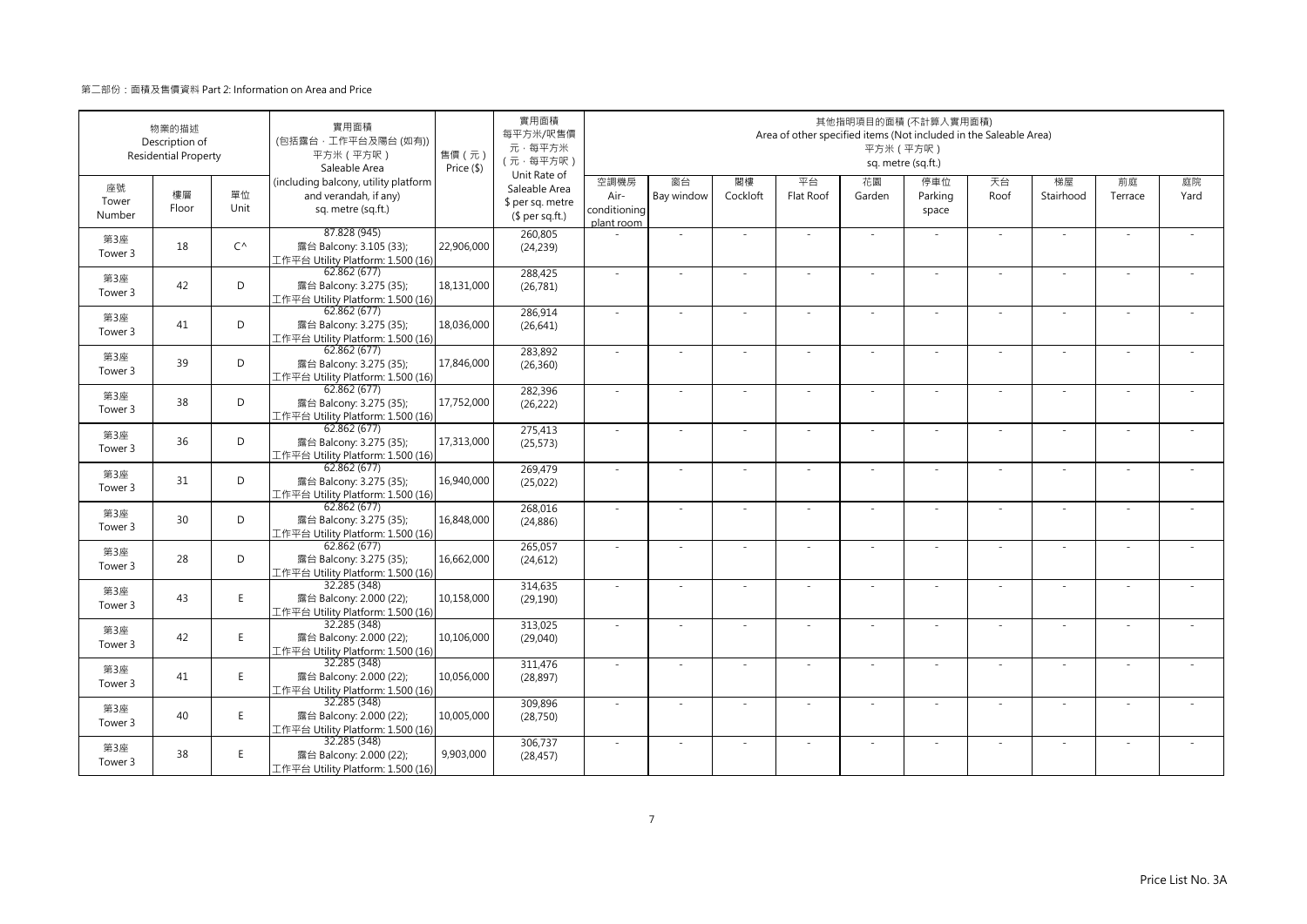|                       | 物業的描述<br>Description of<br><b>Residential Property</b> |              | 實用面積<br>(包括露台·工作平台及陽台(如有))<br>平方米 (平方呎)<br>Saleable Area                            | 售價 (元)<br>Price (\$) | 實用面積<br>每平方米/呎售價<br>元·每平方米<br>(元·每平方呎)                               |                                            |                  |                | Area of other specified items (Not included in the Saleable Area) | 平方米 (平方呎)    | 其他指明項目的面積 (不計算入實用面積)<br>sq. metre (sq.ft.) |            |                 |               |            |
|-----------------------|--------------------------------------------------------|--------------|-------------------------------------------------------------------------------------|----------------------|----------------------------------------------------------------------|--------------------------------------------|------------------|----------------|-------------------------------------------------------------------|--------------|--------------------------------------------|------------|-----------------|---------------|------------|
| 座號<br>Tower<br>Number | 樓層<br>Floor                                            | 單位<br>Unit   | (including balcony, utility platform<br>and verandah, if any)<br>sq. metre (sq.ft.) |                      | Unit Rate of<br>Saleable Area<br>\$ per sq. metre<br>$$$ per sq.ft.) | 空調機房<br>Air-<br>conditioning<br>plant room | 窗台<br>Bay window | 閣樓<br>Cockloft | 平台<br>Flat Roof                                                   | 花園<br>Garden | 停車位<br>Parking<br>space                    | 天台<br>Roof | 梯屋<br>Stairhood | 前庭<br>Terrace | 庭院<br>Yard |
| 第3座<br>Tower 3        | 18                                                     | $C^{\wedge}$ | 87.828 (945)<br>露台 Balcony: 3.105 (33);<br>工作平台 Utility Platform: 1.500 (16)        | 22,906,000           | 260,805<br>(24, 239)                                                 |                                            | ×.               |                |                                                                   | ÷.           |                                            | $\sim$     | $\sim$          |               |            |
| 第3座<br>Tower 3        | 42                                                     | D            | 62.862 (677)<br>露台 Balcony: 3.275 (35);<br>工作平台 Utility Platform: 1.500 (16)        | 18,131,000           | 288,425<br>(26, 781)                                                 | $\sim$                                     | $\sim$           | $\sim$         | $\sim$                                                            | ×.           | $\sim$                                     | $\sim$     | $\sim$          |               |            |
| 第3座<br>Tower 3        | 41                                                     | D            | 62.862 (677)<br>露台 Balcony: 3.275 (35);<br>工作平台 Utility Platform: 1.500 (16)        | 18,036,000           | 286,914<br>(26, 641)                                                 | $\sim$                                     | ×.               |                | ÷.                                                                | ÷.           |                                            | ×.         | J.              |               |            |
| 第3座<br>Tower 3        | 39                                                     | D            | 62.862 (677)<br>露台 Balcony: 3.275 (35);<br>工作平台 Utility Platform: 1.500 (16)        | 17,846,000           | 283,892<br>(26, 360)                                                 | $\sim$                                     | ä,               |                |                                                                   |              |                                            | ×.         | ×.              |               |            |
| 第3座<br>Tower 3        | 38                                                     | D            | 62.862 (677)<br>露台 Balcony: 3.275 (35);<br>工作平台 Utility Platform: 1.500 (16)        | 17,752,000           | 282,396<br>(26, 222)                                                 | $\sim$                                     | ×.               |                | ÷.                                                                | ä,           | $\sim$                                     | $\sim$     | $\sim$          |               |            |
| 第3座<br>Tower 3        | 36                                                     | D            | 62.862 (677)<br>露台 Balcony: 3.275 (35);<br>工作平台 Utility Platform: 1.500 (16)        | 17,313,000           | 275,413<br>(25, 573)                                                 | ×.                                         | $\sim$           |                | ÷,                                                                | ä,           |                                            | $\sim$     | $\sim$          |               |            |
| 第3座<br>Tower 3        | 31                                                     | D            | 62.862(677)<br>露台 Balcony: 3.275 (35);<br>工作平台 Utility Platform: 1.500 (16)         | 16,940,000           | 269,479<br>(25,022)                                                  | $\sim$                                     | $\sim$           | $\sim$         | ×                                                                 | ÷.           | $\sim$                                     | $\omega$   | $\bar{a}$       | $\sim$        |            |
| 第3座<br>Tower 3        | 30                                                     | D            | 62.862(677)<br>露台 Balcony: 3.275 (35);<br>工作平台 Utility Platform: 1.500 (16)         | 16,848,000           | 268,016<br>(24, 886)                                                 | $\sim$                                     |                  |                |                                                                   |              |                                            | $\sim$     |                 |               |            |
| 第3座<br>Tower 3        | 28                                                     | D            | 62.862(677)<br>露台 Balcony: 3.275 (35);<br>工作平台 Utility Platform: 1.500 (16)         | 16,662,000           | 265,057<br>(24, 612)                                                 | ×.                                         | $\sim$           |                |                                                                   |              |                                            | $\sim$     | $\sim$          |               |            |
| 第3座<br>Tower 3        | 43                                                     | E.           | 32.285 (348)<br>露台 Balcony: 2.000 (22);<br>工作平台 Utility Platform: 1.500 (16)        | 10,158,000           | 314,635<br>(29, 190)                                                 | $\sim$                                     | ×.               |                | ÷.                                                                | ÷.           | $\sim$                                     | $\sim$     | ×.              |               |            |
| 第3座<br>Tower 3        | 42                                                     | E.           | 32.285 (348)<br>露台 Balcony: 2.000 (22);<br>工作平台 Utility Platform: 1.500 (16)        | 10,106,000           | 313,025<br>(29,040)                                                  |                                            |                  |                |                                                                   |              |                                            |            |                 |               |            |
| 第3座<br>Tower 3        | 41                                                     | E            | 32.285 (348)<br>露台 Balcony: 2.000 (22);<br>工作平台 Utility Platform: 1.500 (16)        | 10,056,000           | 311,476<br>(28, 897)                                                 | ×.                                         | ×.               |                | $\sim$                                                            | ÷.           | $\sim$                                     | ×.         | ×.              |               |            |
| 第3座<br>Tower 3        | 40                                                     | E            | 32.285 (348)<br>露台 Balcony: 2.000 (22);<br>工作平台 Utility Platform: 1.500 (16)        | 10,005,000           | 309,896<br>(28, 750)                                                 | $\sim$                                     | ÷,               |                |                                                                   | ٠            |                                            | $\sim$     | ÷,              |               |            |
| 第3座<br>Tower 3        | 38                                                     | E.           | 32.285 (348)<br>露台 Balcony: 2.000 (22);<br>工作平台 Utility Platform: 1.500 (16)        | 9,903,000            | 306,737<br>(28, 457)                                                 |                                            |                  |                |                                                                   |              |                                            | $\sim$     | J,              |               |            |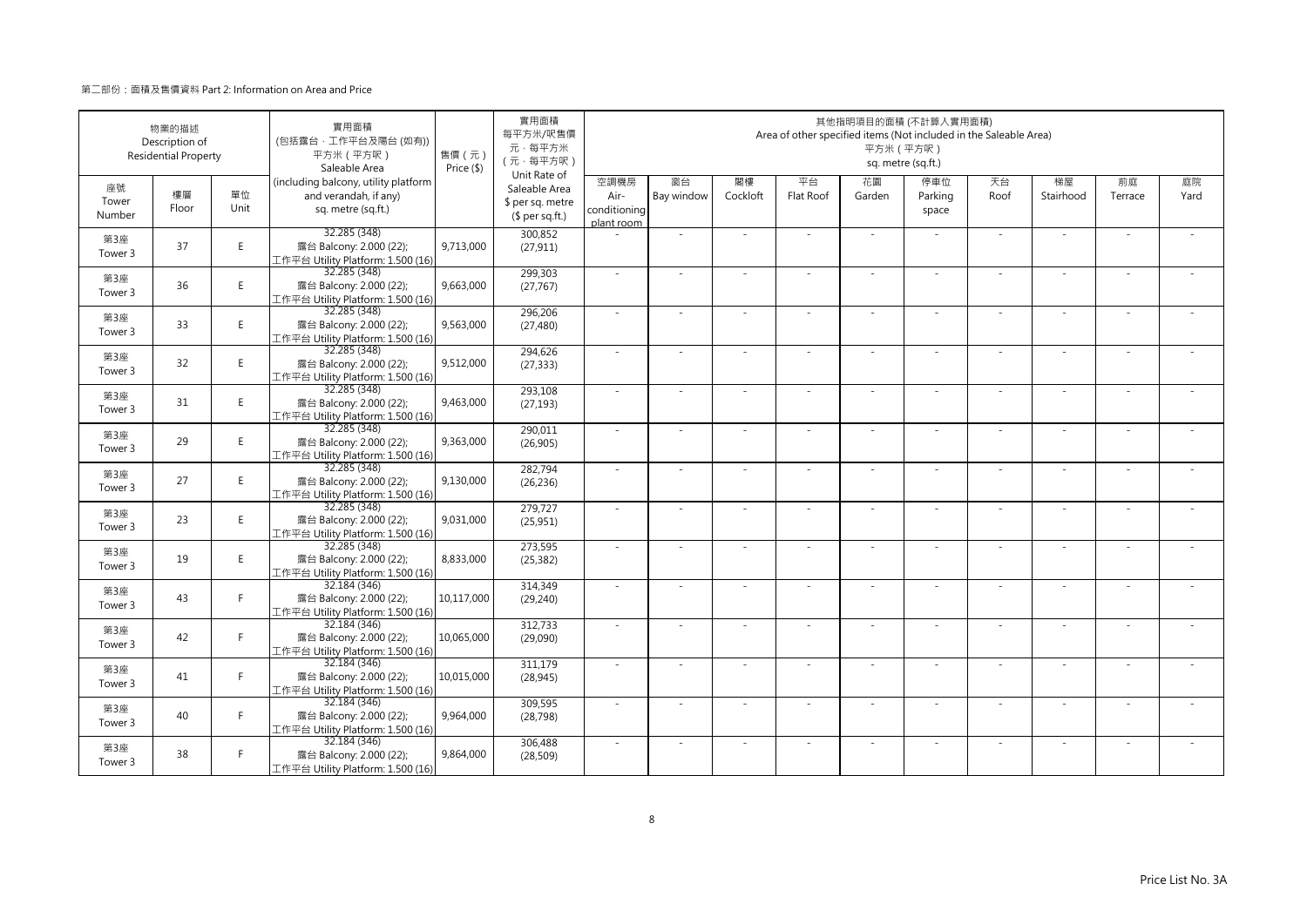|                       | 物業的描述<br>Description of<br><b>Residential Property</b> |            | 實用面積<br>(包括露台·工作平台及陽台(如有))<br>平方米 (平方呎)<br>Saleable Area                            | 售價(元)<br>Price (\$) | 實用面積<br>每平方米/呎售價<br>元·每平方米<br>(元·每平方呎)                               |                                            |                          |                | Area of other specified items (Not included in the Saleable Area) | 其他指明項目的面積 (不計算入實用面積)<br>平方米 (平方呎) | sq. metre (sq.ft.)      |            |                          |               |            |
|-----------------------|--------------------------------------------------------|------------|-------------------------------------------------------------------------------------|---------------------|----------------------------------------------------------------------|--------------------------------------------|--------------------------|----------------|-------------------------------------------------------------------|-----------------------------------|-------------------------|------------|--------------------------|---------------|------------|
| 座號<br>Tower<br>Number | 樓層<br>Floor                                            | 單位<br>Unit | (including balcony, utility platform<br>and verandah, if any)<br>sq. metre (sq.ft.) |                     | Unit Rate of<br>Saleable Area<br>\$ per sq. metre<br>$$$ per sq.ft.) | 空調機房<br>Air-<br>conditioning<br>plant room | 窗台<br>Bay window         | 閣樓<br>Cockloft | 平台<br>Flat Roof                                                   | 花園<br>Garden                      | 停車位<br>Parking<br>space | 天台<br>Roof | 梯屋<br>Stairhood          | 前庭<br>Terrace | 庭院<br>Yard |
| 第3座<br>Tower 3        | 37                                                     | E.         | 32.285 (348)<br>露台 Balcony: 2.000 (22);<br>工作平台 Utility Platform: 1.500 (16)        | 9,713,000           | 300,852<br>(27, 911)                                                 |                                            | ÷,                       |                |                                                                   | $\sim$                            |                         | $\sim$     | $\sim$                   |               |            |
| 第3座<br>Tower 3        | 36                                                     | E          | 32.285 (348)<br>露台 Balcony: 2.000 (22);<br>工作平台 Utility Platform: 1.500 (16)        | 9,663,000           | 299,303<br>(27, 767)                                                 | $\sim$                                     | $\sim$                   | $\sim$         | ÷.                                                                | ×.                                | $\sim$                  | $\sim$     | $\sim$                   | $\sim$        |            |
| 第3座<br>Tower 3        | 33                                                     | E          | 32.285 (348)<br>露台 Balcony: 2.000 (22);<br>工作平台 Utility Platform: 1.500 (16)        | 9,563,000           | 296,206<br>(27, 480)                                                 | $\sim$                                     | ÷,                       |                | ÷.                                                                | $\sim$                            |                         | $\sim$     | ä,                       |               |            |
| 第3座<br>Tower 3        | 32                                                     | E          | 32.285 (348)<br>露台 Balcony: 2.000 (22);<br>工作平台 Utility Platform: 1.500 (16)        | 9,512,000           | 294,626<br>(27, 333)                                                 | ÷.                                         | ä,                       |                |                                                                   |                                   |                         | $\sim$     | J.                       |               |            |
| 第3座<br>Tower 3        | 31                                                     | E.         | 32.285 (348)<br>露台 Balcony: 2.000 (22);<br>工作平台 Utility Platform: 1.500 (16)        | 9,463,000           | 293,108<br>(27, 193)                                                 | $\sim$                                     | $\sim$                   |                | ÷.                                                                | ×.                                | $\sim$                  | $\sim$     | $\sim$                   | $\sim$        |            |
| 第3座<br>Tower 3        | 29                                                     | E          | 32.285 (348)<br>露台 Balcony: 2.000 (22);<br>工作平台 Utility Platform: 1.500 (16)        | 9,363,000           | 290,011<br>(26,905)                                                  | ÷,                                         | $\overline{\phantom{a}}$ |                |                                                                   | $\overline{\phantom{a}}$          |                         | $\sim$     | $\overline{\phantom{a}}$ |               |            |
| 第3座<br>Tower 3        | 27                                                     | E          | 32.285 (348)<br>露台 Balcony: 2.000 (22);<br>工作平台 Utility Platform: 1.500 (16)        | 9,130,000           | 282.794<br>(26, 236)                                                 | $\sim$                                     | ×.                       | $\sim$         | $\overline{\phantom{a}}$                                          | ×.                                | $\sim$                  | ×.         | ×.                       |               |            |
| 第3座<br>Tower 3        | 23                                                     | E.         | 32.285 (348)<br>露台 Balcony: 2.000 (22);<br>工作平台 Utility Platform: 1.500 (16)        | 9,031,000           | 279,727<br>(25, 951)                                                 | ÷.                                         | ä,                       |                |                                                                   | ä,                                |                         | $\sim$     | ä,                       |               |            |
| 第3座<br>Tower 3        | 19                                                     | E          | 32.285 (348)<br>露台 Balcony: 2.000 (22);<br>工作平台 Utility Platform: 1.500 (16)        | 8,833,000           | 273,595<br>(25, 382)                                                 | ×.                                         | ÷,                       |                |                                                                   |                                   |                         | $\sim$     | ä,                       |               |            |
| 第3座<br>Tower 3        | 43                                                     | F.         | 32.184 (346)<br>露台 Balcony: 2.000 (22);<br>工作平台 Utility Platform: 1.500 (16)        | 10,117,000          | 314,349<br>(29, 240)                                                 | $\sim$                                     | $\sim$                   | $\sim$         | ×.                                                                | ×.                                | $\sim$                  | $\sim$     | $\sim$                   | $\sim$        |            |
| 第3座<br>Tower 3        | 42                                                     | F.         | 32.184 (346)<br>露台 Balcony: 2.000 (22);<br>工作平台 Utility Platform: 1.500 (16)        | 10,065,000          | 312,733<br>(29,090)                                                  | $\sim$                                     | $\sim$                   |                |                                                                   |                                   |                         | $\sim$     | ÷,                       |               |            |
| 第3座<br>Tower 3        | 41                                                     | F.         | 32.184 (346)<br>露台 Balcony: 2.000 (22);<br>工作平台 Utility Platform: 1.500 (16)        | 10,015,000          | 311,179<br>(28, 945)                                                 | $\sim$                                     | ×.                       |                | ÷.                                                                | $\sim$                            | $\sim$                  | ×.         | ٠                        |               |            |
| 第3座<br>Tower 3        | 40                                                     | F.         | 32.184 (346)<br>露台 Balcony: 2.000 (22);<br>工作平台 Utility Platform: 1.500 (16)        | 9,964,000           | 309,595<br>(28, 798)                                                 | ×.                                         | ÷,                       |                |                                                                   | ٠                                 |                         | $\sim$     | ÷                        |               |            |
| 第3座<br>Tower 3        | 38                                                     | F.         | 32.184 (346)<br>露台 Balcony: 2.000 (22);<br>工作平台 Utility Platform: 1.500 (16)        | 9,864,000           | 306,488<br>(28, 509)                                                 | ×.                                         |                          |                |                                                                   |                                   |                         | $\sim$     | ÷,                       |               |            |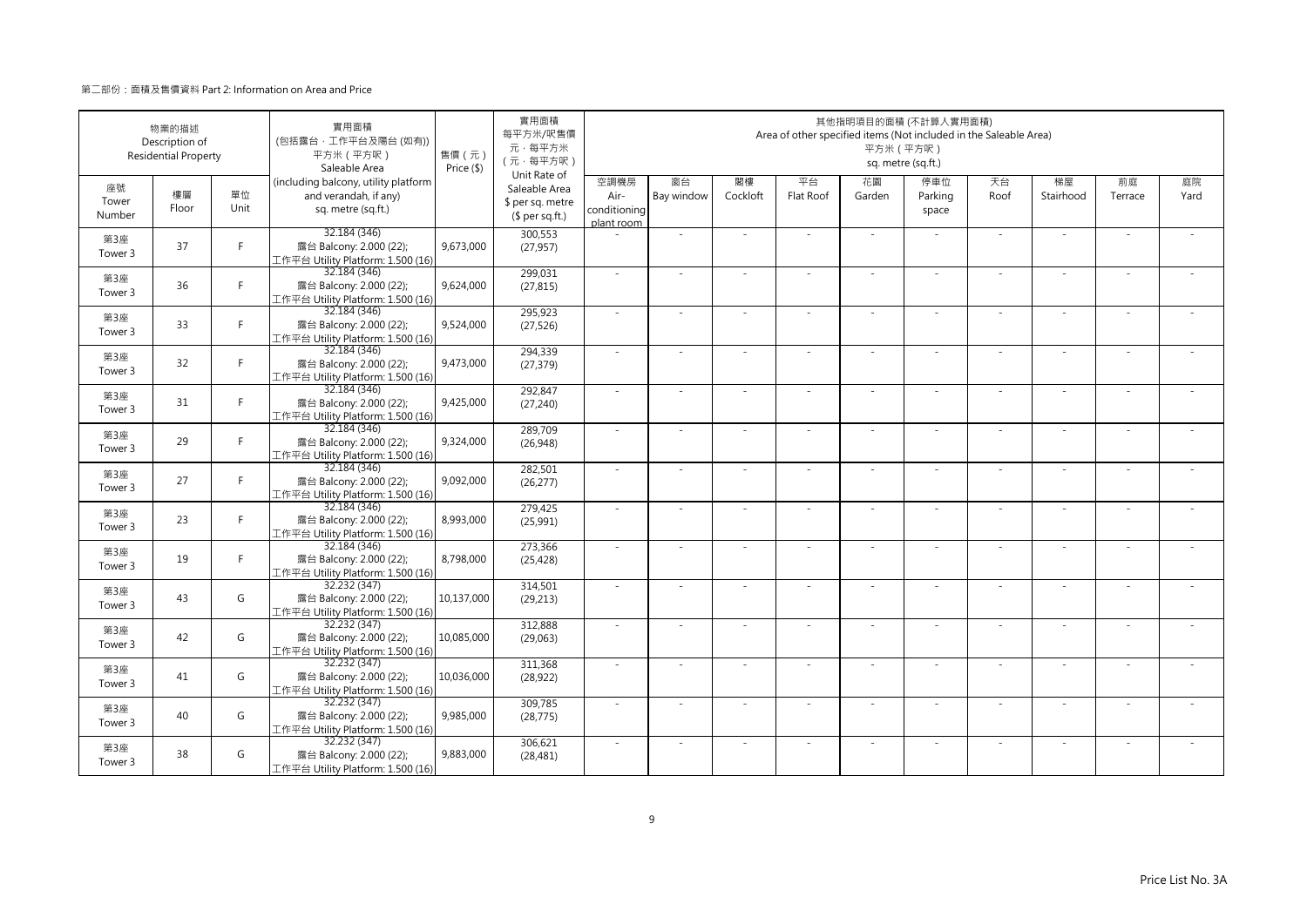|                       | 物業的描述<br>Description of<br><b>Residential Property</b> |            | 實用面積<br>(包括露台·工作平台及陽台 (如有))<br>平方米 (平方呎)<br>Saleable Area                           | 售價(元)<br>Price (\$) | 實用面積<br>每平方米/呎售價<br>元·每平方米<br>(元·每平方呎)                               |                                            |                          |                | Area of other specified items (Not included in the Saleable Area) | 平方米 (平方呎)                | 其他指明項目的面積 (不計算入實用面積)<br>sq. metre (sq.ft.) |            |                          |               |            |
|-----------------------|--------------------------------------------------------|------------|-------------------------------------------------------------------------------------|---------------------|----------------------------------------------------------------------|--------------------------------------------|--------------------------|----------------|-------------------------------------------------------------------|--------------------------|--------------------------------------------|------------|--------------------------|---------------|------------|
| 座號<br>Tower<br>Number | 樓層<br>Floor                                            | 單位<br>Unit | (including balcony, utility platform<br>and verandah, if any)<br>sq. metre (sq.ft.) |                     | Unit Rate of<br>Saleable Area<br>\$ per sq. metre<br>$$$ per sq.ft.) | 空調機房<br>Air-<br>conditioning<br>plant room | 窗台<br>Bay window         | 閣樓<br>Cockloft | 平台<br>Flat Roof                                                   | 花園<br>Garden             | 停車位<br>Parking<br>space                    | 天台<br>Roof | 梯屋<br>Stairhood          | 前庭<br>Terrace | 庭院<br>Yard |
| 第3座<br>Tower 3        | 37                                                     | F.         | 32.184 (346)<br>露台 Balcony: 2.000 (22);<br>工作平台 Utility Platform: 1.500 (16)        | 9,673,000           | 300,553<br>(27, 957)                                                 |                                            | ÷,                       |                |                                                                   | ×.                       |                                            | ×.         | ä,                       |               |            |
| 第3座<br>Tower 3        | 36                                                     | F          | 32.184 (346)<br>露台 Balcony: 2.000 (22);<br>工作平台 Utility Platform: 1.500 (16)        | 9,624,000           | 299,031<br>(27, 815)                                                 | ×.                                         | ×.                       |                | ÷.                                                                | $\sim$                   | $\sim$                                     | ×.         | ٠                        |               |            |
| 第3座<br>Tower 3        | 33                                                     | F.         | 32.184 (346)<br>露台 Balcony: 2.000 (22);<br>工作平台 Utility Platform: 1.500 (16)        | 9,524,000           | 295,923<br>(27, 526)                                                 | ×.                                         |                          |                |                                                                   |                          |                                            | ×.         |                          |               |            |
| 第3座<br>Tower 3        | 32                                                     | F.         | 32.184 (346)<br>露台 Balcony: 2.000 (22);<br>工作平台 Utility Platform: 1.500 (16)        | 9,473,000           | 294,339<br>(27, 379)                                                 | $\sim$                                     | $\overline{\phantom{a}}$ |                |                                                                   | $\overline{\phantom{a}}$ |                                            | $\sim$     | $\overline{\phantom{a}}$ |               |            |
| 第3座<br>Tower 3        | 31                                                     | F.         | 32.184 (346)<br>露台 Balcony: 2.000 (22);<br>工作平台 Utility Platform: 1.500 (16)        | 9,425,000           | 292,847<br>(27, 240)                                                 | $\sim$                                     | ×.                       |                | ÷.                                                                | $\sim$                   | $\sim$                                     | $\sim$     | ٠                        |               |            |
| 第3座<br>Tower 3        | 29                                                     | F.         | 32.184 (346)<br>露台 Balcony: 2.000 (22);<br>工作平台 Utility Platform: 1.500 (16)        | 9,324,000           | 289,709<br>(26,948)                                                  |                                            | ä,                       |                |                                                                   |                          |                                            | $\sim$     | ÷,                       |               |            |
| 第3座<br>Tower 3        | 27                                                     | F.         | 32.184 (346)<br>露台 Balcony: 2.000 (22);<br>工作平台 Utility Platform: 1.500 (16)        | 9,092,000           | 282,501<br>(26, 277)                                                 | $\sim$                                     | ×.                       |                | ÷.                                                                | $\sim$                   |                                            | ×.         | ٠                        |               |            |
| 第3座<br>Tower 3        | 23                                                     | F.         | 32.184 (346)<br>露台 Balcony: 2.000 (22);<br>工作平台 Utility Platform: 1.500 (16)        | 8,993,000           | 279,425<br>(25,991)                                                  | ÷.                                         |                          |                |                                                                   |                          |                                            |            |                          |               |            |
| 第3座<br>Tower 3        | 19                                                     | F.         | 32.184 (346)<br>露台 Balcony: 2.000 (22);<br>工作平台 Utility Platform: 1.500 (16)        | 8,798,000           | 273,366<br>(25, 428)                                                 | ×.                                         | $\overline{\phantom{a}}$ |                |                                                                   | ٠                        |                                            | ×.         | $\overline{\phantom{a}}$ |               |            |
| 第3座<br>Tower 3        | 43                                                     | G          | 32.232 (347)<br>露台 Balcony: 2.000 (22);<br>工作平台 Utility Platform: 1.500 (16)        | 10,137,000          | 314,501<br>(29, 213)                                                 | $\sim$                                     | $\sim$                   | $\sim$         | ÷,                                                                | $\sim$                   | $\sim$                                     | $\sim$     | $\sim$                   | $\sim$        |            |
| 第3座<br>Tower 3        | 42                                                     | G          | 32.232 (347)<br>露台 Balcony: 2.000 (22);<br>工作平台 Utility Platform: 1.500 (16)        | 10,085,000          | 312,888<br>(29,063)                                                  |                                            |                          |                |                                                                   |                          |                                            |            |                          |               |            |
| 第3座<br>Tower 3        | 41                                                     | G          | 32.232 (347)<br>露台 Balcony: 2.000 (22);<br>工作平台 Utility Platform: 1.500 (16)        | 10,036,000          | 311,368<br>(28, 922)                                                 | $\sim$                                     | ×.                       |                | ÷.                                                                | $\sim$                   | $\sim$                                     | $\sim$     | $\sim$                   |               |            |
| 第3座<br>Tower 3        | 40                                                     | G          | 32.232 (347)<br>露台 Balcony: 2.000 (22);<br>工作平台 Utility Platform: 1.500 (16)        | 9,985,000           | 309,785<br>(28, 775)                                                 | ×.                                         | ÷.                       |                |                                                                   | ÷                        |                                            | $\sim$     | ÷,                       |               |            |
| 第3座<br>Tower 3        | 38                                                     | G          | 32.232 (347)<br>露台 Balcony: 2.000 (22);<br>工作平台 Utility Platform: 1.500 (16)        | 9,883,000           | 306,621<br>(28, 481)                                                 | ×.                                         | ÷,                       |                |                                                                   |                          |                                            | $\sim$     | ÷,                       |               |            |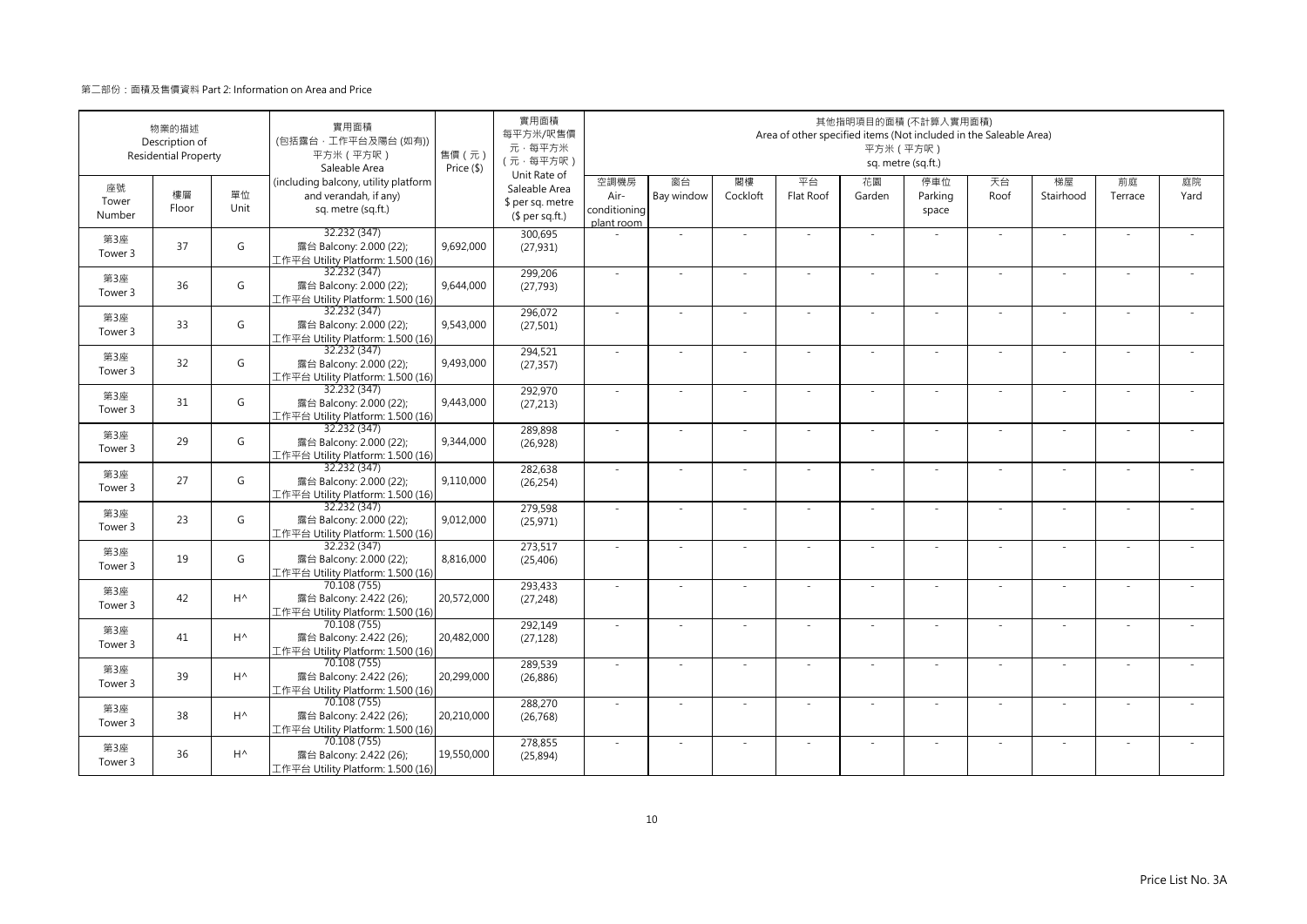|                       | 物業的描述<br>Description of<br><b>Residential Property</b> |                | 實用面積<br>(包括露台·工作平台及陽台 (如有))<br>平方米 (平方呎)<br>Saleable Area                           | 售價 (元)<br>Price (\$) | 實用面積<br>每平方米/呎售價<br>元·每平方米<br>(元·每平方呎)                               |                                            |                  |                | Area of other specified items (Not included in the Saleable Area) | 平方米 (平方呎)    | 其他指明項目的面積 (不計算入實用面積)<br>sq. metre (sq.ft.) |            |                 |               |            |
|-----------------------|--------------------------------------------------------|----------------|-------------------------------------------------------------------------------------|----------------------|----------------------------------------------------------------------|--------------------------------------------|------------------|----------------|-------------------------------------------------------------------|--------------|--------------------------------------------|------------|-----------------|---------------|------------|
| 座號<br>Tower<br>Number | 樓層<br>Floor                                            | 單位<br>Unit     | (including balcony, utility platform<br>and verandah, if any)<br>sq. metre (sq.ft.) |                      | Unit Rate of<br>Saleable Area<br>\$ per sq. metre<br>$$$ per sq.ft.) | 空調機房<br>Air-<br>conditioning<br>plant room | 窗台<br>Bay window | 閣樓<br>Cockloft | 平台<br>Flat Roof                                                   | 花園<br>Garden | 停車位<br>Parking<br>space                    | 天台<br>Roof | 梯屋<br>Stairhood | 前庭<br>Terrace | 庭院<br>Yard |
| 第3座<br>Tower 3        | 37                                                     | G              | 32.232 (347)<br>露台 Balcony: 2.000 (22);<br>工作平台 Utility Platform: 1.500 (16)        | 9,692,000            | 300,695<br>(27, 931)                                                 |                                            | ä,               |                |                                                                   | ä,           |                                            | ×.         | ä,              |               |            |
| 第3座<br>Tower 3        | 36                                                     | G              | 32.232 (347)<br>露台 Balcony: 2.000 (22);<br>工作平台 Utility Platform: 1.500 (16)        | 9,644,000            | 299,206<br>(27, 793)                                                 | ×.                                         | $\sim$           |                | ÷.                                                                | ÷.           | $\sim$                                     | ×.         | $\sim$          |               |            |
| 第3座<br>Tower 3        | 33                                                     | G              | 32.232 (347)<br>露台 Balcony: 2.000 (22);<br>工作平台 Utility Platform: 1.500 (16)        | 9,543,000            | 296,072<br>(27, 501)                                                 | ×.                                         |                  |                |                                                                   |              |                                            |            |                 |               |            |
| 第3座<br>Tower 3        | 32                                                     | G              | 32.232 (347)<br>露台 Balcony: 2.000 (22);<br>工作平台 Utility Platform: 1.500 (16)        | 9,493,000            | 294,521<br>(27, 357)                                                 | $\sim$                                     | $\sim$           |                |                                                                   | ÷,           |                                            | $\sim$     | $\sim$          |               |            |
| 第3座<br>Tower 3        | 31                                                     | G              | 32.232 (347)<br>露台 Balcony: 2.000 (22);<br>工作平台 Utility Platform: 1.500 (16)        | 9,443,000            | 292,970<br>(27, 213)                                                 | $\sim$                                     | $\sim$           |                | $\overline{\phantom{a}}$                                          | ÷.           | $\sim$                                     | $\sim$     | $\sim$          |               |            |
| 第3座<br>Tower 3        | 29                                                     | G              | 32.232 (347)<br>露台 Balcony: 2.000 (22);<br>工作平台 Utility Platform: 1.500 (16)        | 9,344,000            | 289,898<br>(26, 928)                                                 |                                            |                  |                |                                                                   |              |                                            | $\sim$     | ä,              |               |            |
| 第3座<br>Tower 3        | 27                                                     | G              | 32.232 (347)<br>露台 Balcony: 2.000 (22);<br>工作平台 Utility Platform: 1.500 (16)        | 9,110,000            | 282,638<br>(26, 254)                                                 | $\sim$                                     | $\sim$           |                | ÷.                                                                | ÷.           | $\sim$                                     | ×.         | ×.              |               |            |
| 第3座<br>Tower 3        | 23                                                     | G              | 32.232 (347)<br>露台 Balcony: 2.000 (22);<br>工作平台 Utility Platform: 1.500 (16)        | 9,012,000            | 279,598<br>(25, 971)                                                 |                                            |                  |                |                                                                   |              |                                            |            |                 |               |            |
| 第3座<br>Tower 3        | 19                                                     | G              | 32.232 (347)<br>露台 Balcony: 2.000 (22);<br>工作平台 Utility Platform: 1.500 (16)        | 8,816,000            | 273,517<br>(25, 406)                                                 | ×.                                         | $\sim$           |                |                                                                   | ÷,           |                                            | $\sim$     | $\sim$          |               |            |
| 第3座<br>Tower 3        | 42                                                     | $H^{\wedge}$   | 70.108 (755)<br>露台 Balcony: 2.422 (26);<br>工作平台 Utility Platform: 1.500 (16)        | 20,572,000           | 293,433<br>(27, 248)                                                 | $\sim$                                     | $\sim$           | $\sim$         | ÷.                                                                | ÷.           | $\sim$                                     | $\sim$     | $\sim$          | $\sim$        |            |
| 第3座<br>Tower 3        | 41                                                     | $H^{\wedge}$   | 70.108 (755)<br>露台 Balcony: 2.422 (26);<br>工作平台 Utility Platform: 1.500 (16)        | 20,482,000           | 292,149<br>(27, 128)                                                 |                                            |                  |                |                                                                   |              |                                            |            |                 |               |            |
| 第3座<br>Tower 3        | 39                                                     | $H^{\wedge}$   | 70.108 (755)<br>露台 Balcony: 2.422 (26);<br>工作平台 Utility Platform: 1.500 (16)        | 20,299,000           | 289,539<br>(26, 886)                                                 | $\sim$                                     | $\sim$           |                | $\overline{\phantom{a}}$                                          | ÷.           | $\sim$                                     | $\sim$     | $\sim$          |               |            |
| 第3座<br>Tower 3        | 38                                                     | H <sup>^</sup> | 70.108 (755)<br>露台 Balcony: 2.422 (26);<br>工作平台 Utility Platform: 1.500 (16)        | 20,210,000           | 288,270<br>(26, 768)                                                 | $\sim$                                     |                  |                |                                                                   | ٠            |                                            | $\sim$     | ÷,              |               |            |
| 第3座<br>Tower 3        | 36                                                     | H <sup>^</sup> | 70.108 (755)<br>露台 Balcony: 2.422 (26);<br>工作平台 Utility Platform: 1.500 (16)        | 19,550,000           | 278,855<br>(25, 894)                                                 |                                            |                  |                |                                                                   |              |                                            | $\sim$     | J,              |               |            |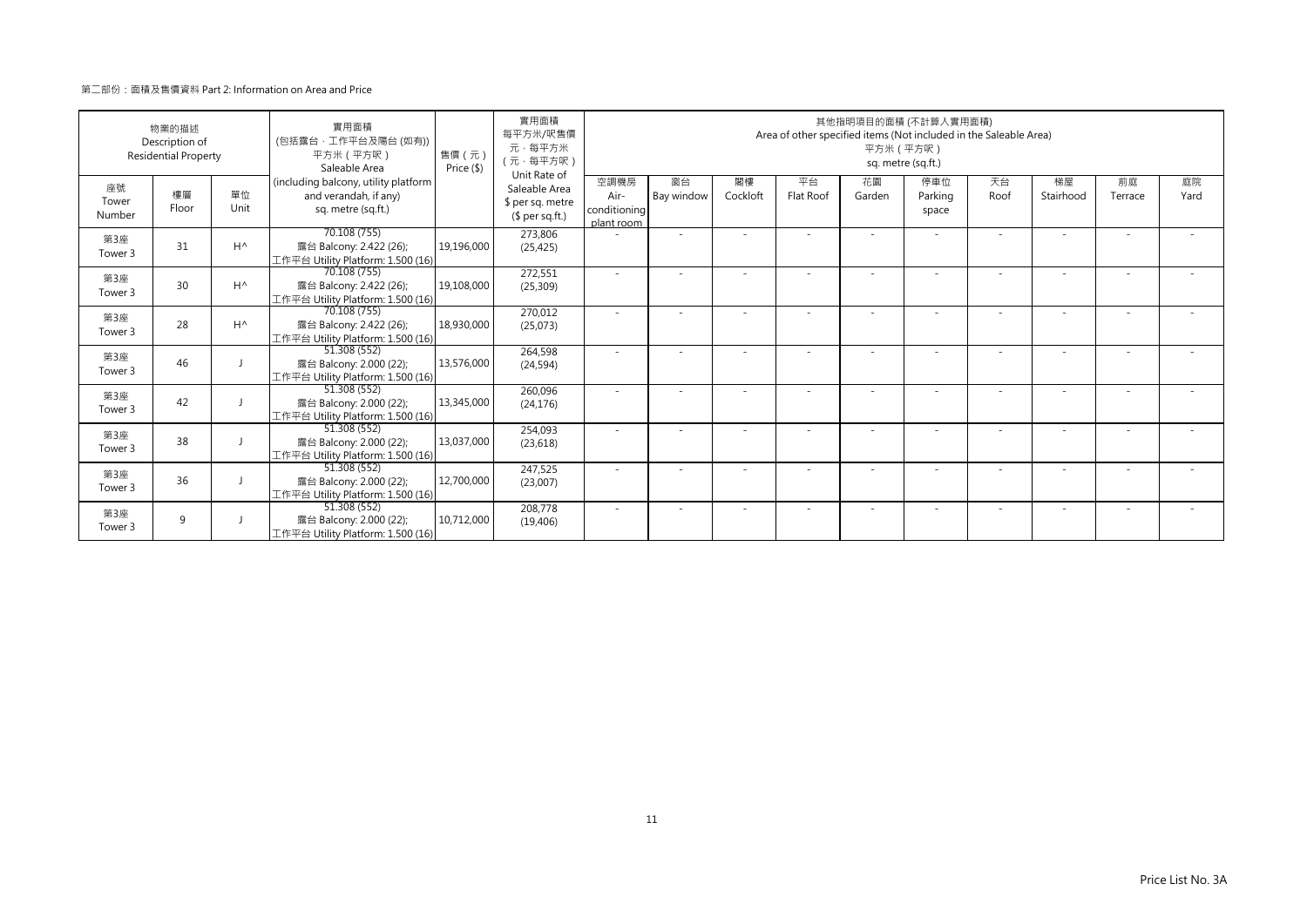| 物業的描述<br>Description of<br><b>Residential Property</b> |             | 實用面積<br>(包括露台·工作平台及陽台 (如有))<br>平方米 (平方呎)<br>Saleable Area | 售價 (元)<br>Price (\$)                                                                | 實用面積<br>每平方米/呎售價<br>元·每平方米<br>(元·每平方呎) | 其他指明項目的面積 (不計算入實用面積)<br>Area of other specified items (Not included in the Saleable Area)<br>平方米 (平方呎)<br>sq. metre (sq.ft.) |                                            |                  |                          |                 |              |                         |            |                          |                          |            |
|--------------------------------------------------------|-------------|-----------------------------------------------------------|-------------------------------------------------------------------------------------|----------------------------------------|------------------------------------------------------------------------------------------------------------------------------|--------------------------------------------|------------------|--------------------------|-----------------|--------------|-------------------------|------------|--------------------------|--------------------------|------------|
| 座號<br>Tower<br>Number                                  | 樓層<br>Floor | 單位<br>Unit                                                | (including balcony, utility platform<br>and verandah, if any)<br>sq. metre (sq.ft.) |                                        | Unit Rate of<br>Saleable Area<br>\$ per sq. metre<br>$$$ per sq.ft.)                                                         | 空調機房<br>Air-<br>conditioning<br>plant room | 窗台<br>Bay window | 閣樓<br>Cockloft           | 平台<br>Flat Roof | 花園<br>Garden | 停車位<br>Parking<br>space | 天台<br>Roof | 梯屋<br>Stairhood          | 前庭<br>Terrace            | 庭院<br>Yard |
| 第3座<br>Tower 3                                         | 31          | $H^{\wedge}$                                              | 70.108 (755)<br>露台 Balcony: 2.422 (26);<br>工作平台 Utility Platform: 1.500 (16)        | 19,196,000                             | 273,806<br>(25, 425)                                                                                                         |                                            | ٠                |                          |                 |              |                         |            |                          |                          |            |
| 第3座<br>Tower 3                                         | 30          | $H^{\wedge}$                                              | 70.108 (755)<br>露台 Balcony: 2.422 (26);<br>工作平台 Utility Platform: 1.500 (16)        | 19,108,000                             | 272,551<br>(25, 309)                                                                                                         |                                            |                  |                          |                 |              |                         |            | $\overline{\phantom{a}}$ | $\overline{\phantom{a}}$ |            |
| 第3座<br>Tower 3                                         | 28          | $H^{\wedge}$                                              | 70.108 (755)<br>露台 Balcony: 2.422 (26);<br>工作平台 Utility Platform: 1.500 (16)        | 18,930,000                             | 270,012<br>(25,073)                                                                                                          |                                            |                  |                          |                 |              |                         |            |                          |                          |            |
| 第3座<br>Tower 3                                         | 46          |                                                           | 51.308 (552)<br>露台 Balcony: 2.000 (22);<br>工作平台 Utility Platform: 1.500 (16)        | 13,576,000                             | 264,598<br>(24, 594)                                                                                                         |                                            |                  |                          |                 |              |                         |            |                          |                          |            |
| 第3座<br>Tower 3                                         | 42          |                                                           | 51.308 (552)<br>露台 Balcony: 2.000 (22);<br>工作平台 Utility Platform: 1.500 (16)        | 13,345,000                             | 260,096<br>(24, 176)                                                                                                         |                                            |                  |                          |                 |              |                         |            |                          |                          |            |
| 第3座<br>Tower 3                                         | 38          |                                                           | 51.308 (552)<br>露台 Balcony: 2.000 (22);<br>工作平台 Utility Platform: 1.500 (16)        | 13,037,000                             | 254,093<br>(23, 618)                                                                                                         |                                            |                  |                          |                 |              |                         |            |                          |                          |            |
| 第3座<br>Tower 3                                         | 36          |                                                           | 51.308(552)<br>露台 Balcony: 2.000 (22);<br>工作平台 Utility Platform: 1.500 (16)         | 12,700,000                             | 247,525<br>(23,007)                                                                                                          |                                            |                  |                          |                 |              |                         |            |                          |                          |            |
| 第3座<br>Tower 3                                         | 9           |                                                           | 51.308 (552)<br>露台 Balcony: 2.000 (22);<br>工作平台 Utility Platform: 1.500 (16)        | 10,712,000                             | 208,778<br>(19, 406)                                                                                                         | $\sim$                                     | ٠                | $\overline{\phantom{a}}$ |                 | ٠            | $\sim$                  | $\sim$     | ٠                        | ٠                        |            |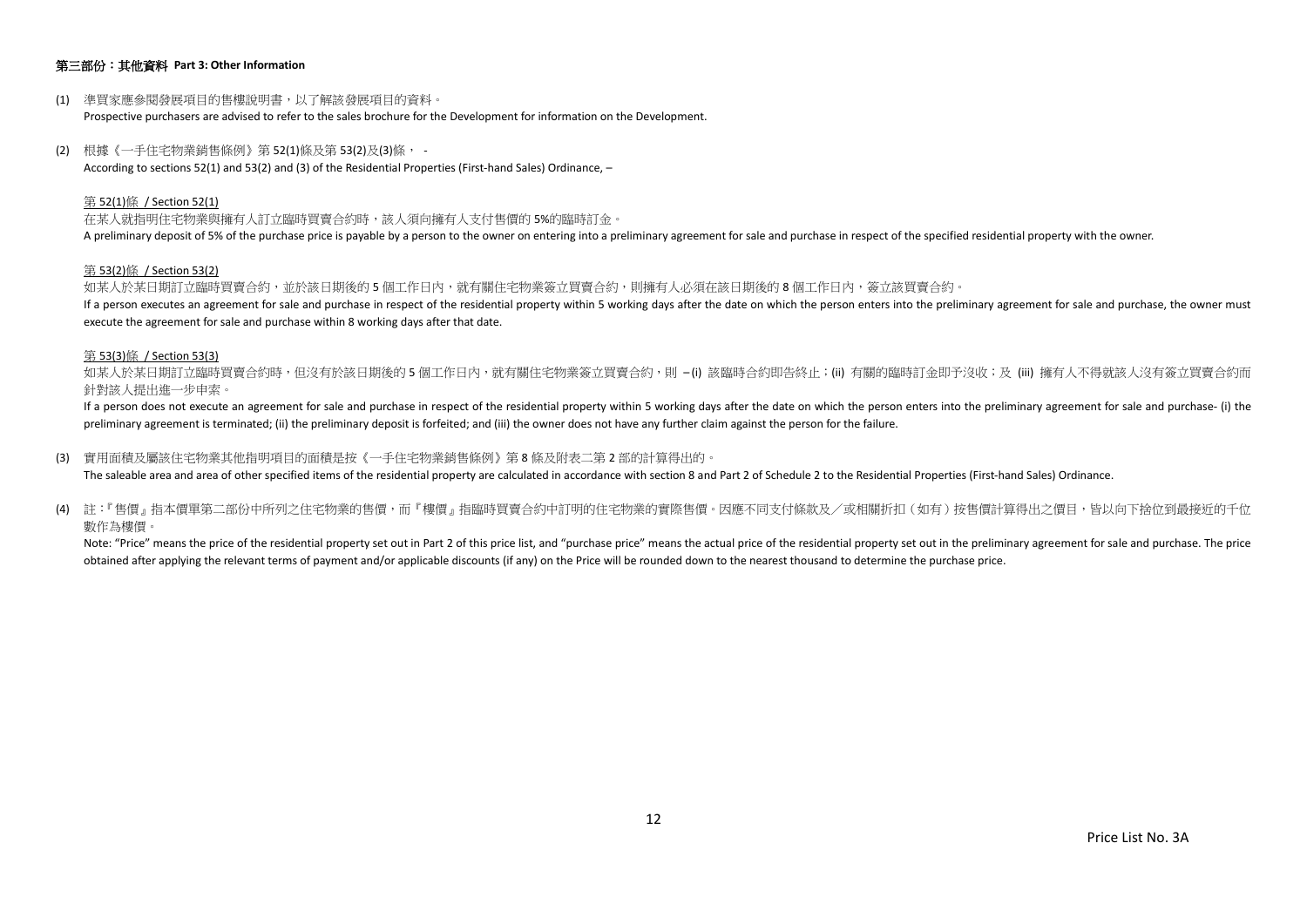## 第三部份:其他資料 **Part 3: Other Information**

- (1) 準買家應參閱發展項目的售樓說明書,以了解該發展項目的資料。 Prospective purchasers are advised to refer to the sales brochure for the Development for information on the Development.
- (2) 根據《一手住宅物業銷售條例》第 52(1)條及第 53(2)及(3)條, According to sections 52(1) and 53(2) and (3) of the Residential Properties (First-hand Sales) Ordinance, –

#### 第 52(1)條 / Section 52(1)

在某人就指明住宅物業與擁有人訂立臨時買賣合約時,該人須向擁有人支付售價的 5%的臨時訂金。 A preliminary deposit of 5% of the purchase price is payable by a person to the owner on entering into a preliminary agreement for sale and purchase in respect of the specified residential property with the owner.

#### 第 53(2)條 / Section 53(2)

如某人於某日期訂立臨時買賣合約,並於該日期後的5個工作日內,就有關住宅物業簽立買賣合約,則擁有人必須在該日期後的8個工作日内,簽立該買賣合約。 If a person executes an agreement for sale and purchase in respect of the residential property within 5 working days after the date on which the person enters into the preliminary agreement for sale and purchase, the owner execute the agreement for sale and purchase within 8 working days after that date.

#### 第 53(3)條 / Section 53(3)

如某人於某日期訂立臨時買賣合約時,但沒有於該日期後的 5 個工作日内,就有關住宅物業簽立買賣合約,則 –(i) 該臨時合約即告終止;(ii) 有關的臨時訂金即予沒收;及 (iii) 擁有人不得就該人沒有簽立買賣合約而 針對該人提出進一步申索。

If a person does not execute an agreement for sale and purchase in respect of the residential property within 5 working days after the date on which the person enters into the preliminary agreement for sale and purchase- ( preliminary agreement is terminated; (ii) the preliminary deposit is forfeited; and (iii) the owner does not have any further claim against the person for the failure.

(3) 實用面積及屬該住宅物業其他指明項目的面積是按《一手住宅物業銷售條例》第 8 條及附表二第 2 部的計算得出的。

The saleable area and area of other specified items of the residential property are calculated in accordance with section 8 and Part 2 of Schedule 2 to the Residential Properties (First-hand Sales) Ordinance.

(4) 註:『售價』指本價單第二部份中所列之住宅物業的售價,而『樓價』指臨時買賣合約中訂明的住宅物業的實際售價。因應不同支付條款及/或相關折扣(如有)按售價計算得出之價目,皆以向下捨位到最接近的千位 數作為樓價。

Note: "Price" means the price of the residential property set out in Part 2 of this price list, and "purchase price" means the actual price of the residential property set out in the preliminary agreement for sale and purc obtained after applying the relevant terms of payment and/or applicable discounts (if any) on the Price will be rounded down to the nearest thousand to determine the purchase price.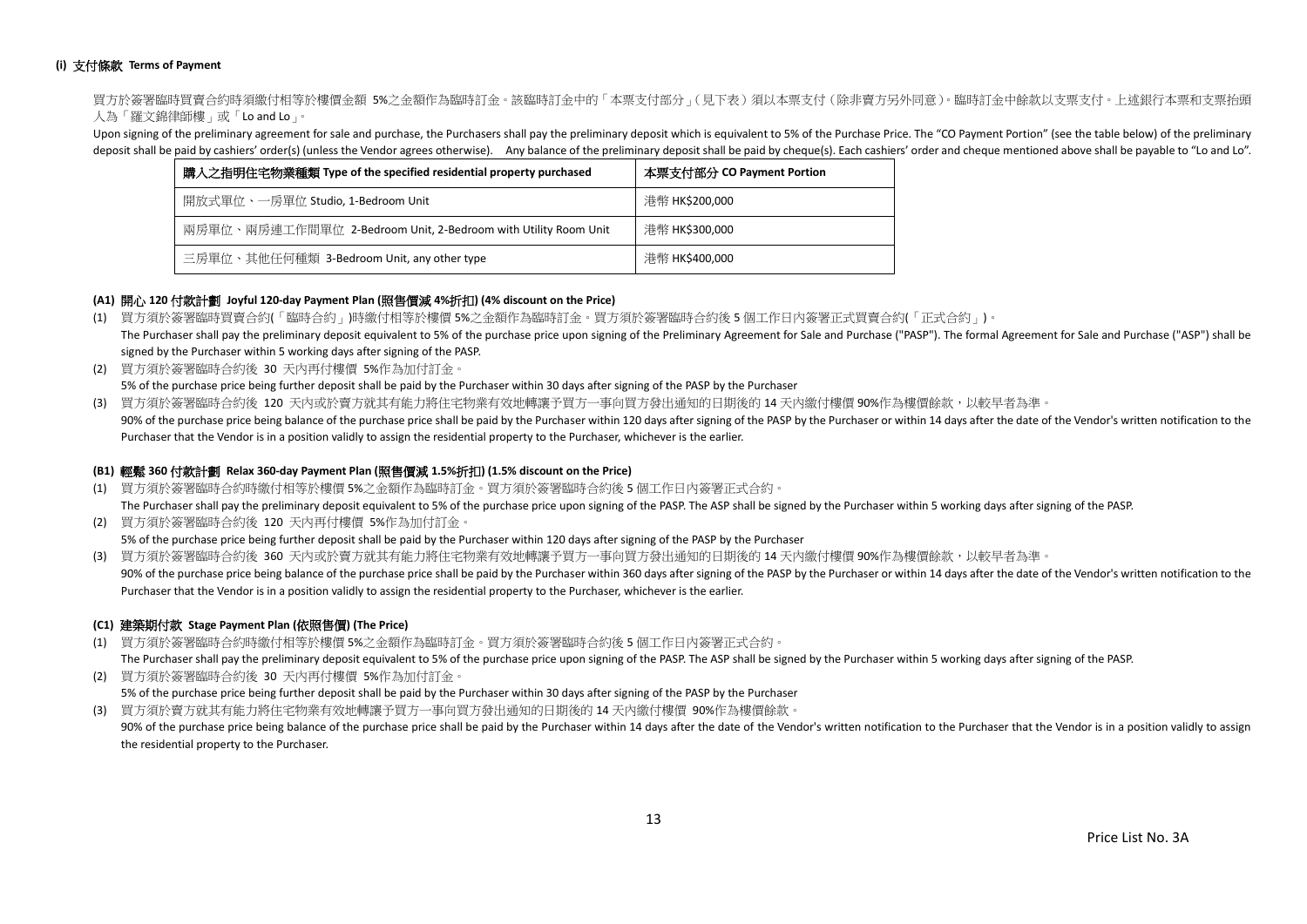## **(i)** 支付條款 **Terms of Payment**

買方於簽署臨時買賣合約時須繳付相等於樓價金額 5%之金額作為臨時訂金。該臨時訂金中的「本票支付部分」(見下表)須以本票支付(除非賣方另外同意)。臨時訂金中餘款以支票支付。上述銀行本票和支票抬頭 人為「羅文錦律師樓」或「Lo and Lo」。

Upon signing of the preliminary agreement for sale and purchase, the Purchasers shall pay the preliminary deposit which is equivalent to 5% of the Purchase Price. The "CO Payment Portion" (see the table below) of the preli deposit shall be paid by cashiers' order(s) (unless the Vendor agrees otherwise). Any balance of the preliminary deposit shall be paid by cheque(s). Each cashiers' order and cheque mentioned above shall be payable to "Lo a

| 購入之指明住宅物業種類 Type of the specified residential property purchased | 本票支付部分 CO Payment Portion |  |  |  |  |
|------------------------------------------------------------------|---------------------------|--|--|--|--|
| 開放式單位、一房單位 Studio, 1-Bedroom Unit                                | 港幣 HK\$200,000            |  |  |  |  |
| 兩房單位、兩房連工作間單位 2-Bedroom Unit, 2-Bedroom with Utility Room Unit   | 港幣 HK\$300,000            |  |  |  |  |
| 三房單位、其他任何種類 3-Bedroom Unit, any other type                       | 港幣 HK\$400,000            |  |  |  |  |

## **(A1)** 開心 **120** 付款計劃 **Joyful 120-day Payment Plan (**照售價減 **4%**折扣**) (4% discount on the Price)**

- (1) 買方須於簽署臨時買賣合約(「臨時合約」)時繳付相等於樓價 5%之金額作為臨時訂金。買方須於簽署臨時合約後 5 個工作日內簽署正式買賣合約(「正式合約」)。 The Purchaser shall pay the preliminary deposit equivalent to 5% of the purchase price upon signing of the Preliminary Agreement for Sale and Purchase ("PASP"). The formal Agreement for Sale and Purchase ("ASP") shall be signed by the Purchaser within 5 working days after signing of the PASP.
- (2) 買方須於簽署臨時合約後 30 天內再付樓價 5%作為加付訂金。 5% of the purchase price being further deposit shall be paid by the Purchaser within 30 days after signing of the PASP by the Purchaser
- (3) 買方須於簽署臨時合約後 120 天內或於賣方就其有能力將住宅物業有效地轉讓予買方一事向買方發出通知的日期後的 14 天內繳付樓價 90%作為樓價餘款,以較早者為準。
- 90% of the purchase price being balance of the purchase price shall be paid by the Purchaser within 120 days after signing of the PASP by the Purchaser or within 14 days after the date of the Vendor's written notification Purchaser that the Vendor is in a position validly to assign the residential property to the Purchaser, whichever is the earlier.

### **(B1)** 輕鬆 **360** 付款計劃 **Relax 360-day Payment Plan (**照售價減 **1.5%**折扣**) (1.5% discount on the Price)**

- (1) 買方須於簽署臨時合約時繳付相等於樓價 5%之金額作為臨時訂金。買方須於簽署臨時合約後 5 個工作日內簽署正式合約。 The Purchaser shall pay the preliminary deposit equivalent to 5% of the purchase price upon signing of the PASP. The ASP shall be signed by the Purchaser within 5 working days after signing of the PASP.
- (2) 買方須於簽署臨時合約後 120 天內再付樓價 5%作為加付訂金。 5% of the purchase price being further deposit shall be paid by the Purchaser within 120 days after signing of the PASP by the Purchaser
- (3) 買方須於簽署臨時合約後 360 天內或於賣方就其有能力將住宅物業有效地轉讓予買方一事向買方發出通知的日期後的 14 天內繳付樓價 90%作為樓價餘款,以較早者為準。 90% of the purchase price being balance of the purchase price shall be paid by the Purchaser within 360 days after signing of the PASP by the Purchaser or within 14 days after the date of the Vendor's written notification Purchaser that the Vendor is in a position validly to assign the residential property to the Purchaser, whichever is the earlier.

## **(C1)** 建築期付款 **Stage Payment Plan (**依照售價**) (The Price)**

(1) 買方須於簽署臨時合約時繳付相等於樓價 5%之金額作為臨時訂金。買方須於簽署臨時合約後 5 個工作日內簽署正式合約。

The Purchaser shall pay the preliminary deposit equivalent to 5% of the purchase price upon signing of the PASP. The ASP shall be signed by the Purchaser within 5 working days after signing of the PASP.

(2) 買方須於簽署臨時合約後 30 天內再付樓價 5%作為加付訂金。 5% of the purchase price being further deposit shall be paid by the Purchaser within 30 days after signing of the PASP by the Purchaser (3) 買方須於賣方就其有能力將住宅物業有效地轉讓予買方一事向買方發出通知的日期後的 14 天內繳付樓價 90%作為樓價餘款。

90% of the purchase price being balance of the purchase price shall be paid by the Purchaser within 14 days after the date of the Vendor's written notification to the Purchaser that the Vendor is in a position validly to a the residential property to the Purchaser.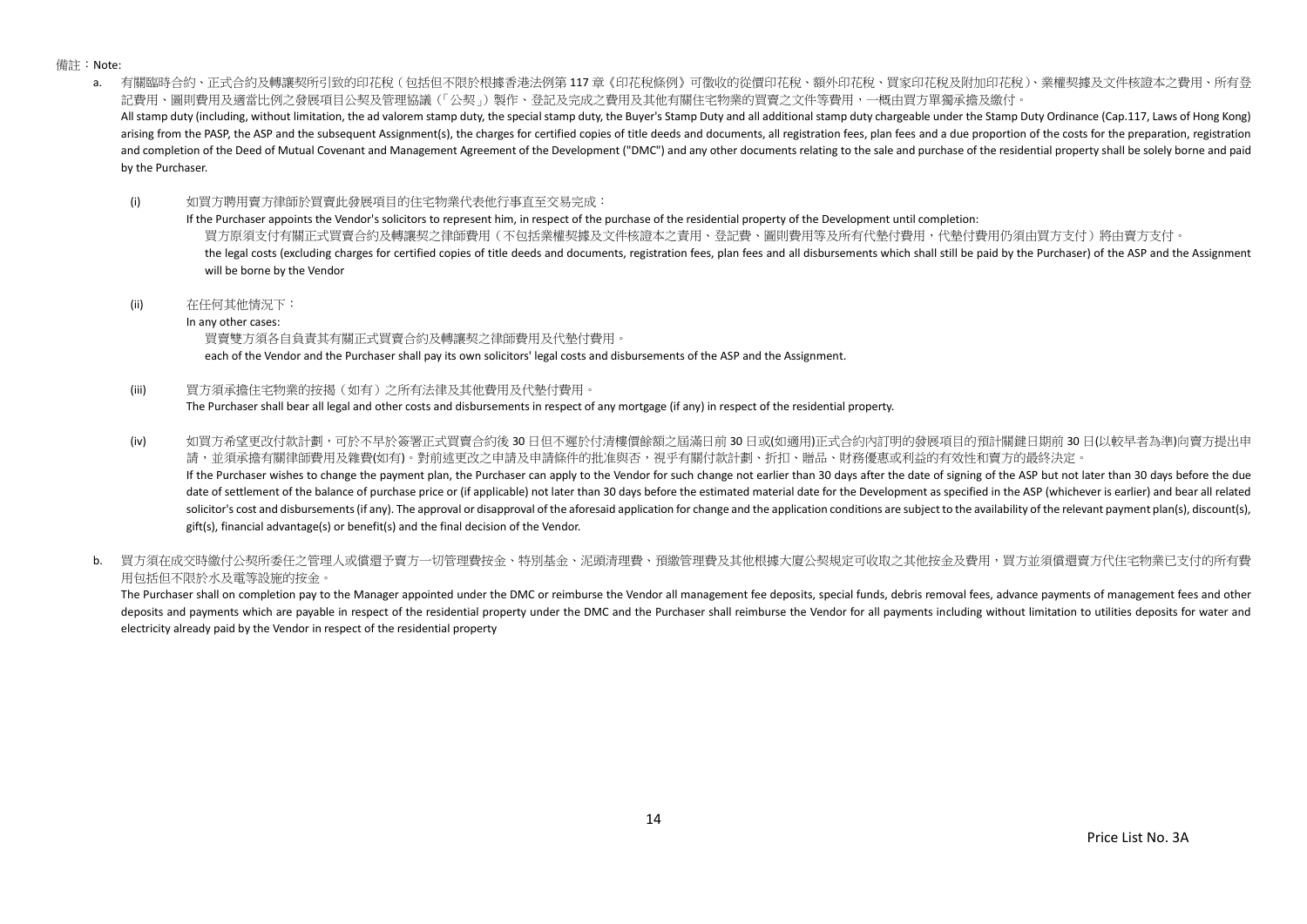備註:Note:

a. 有關臨時合約、正式合約及轉讓契所引致的印花稅(包括但不限於根據香港法例第 117 章《印花稅條例》可徵收的從價印花稅、額外印花稅、買家印花稅及附加印花稅)、業權契據及文件核證本之費用、所有登 記費用、圖則費用及適當比例之發展項目公契及管理協議(「公契」)製作、登記及完成之費用及其他有關住宅物業的買賣之文件等費用,一概由買方單獨承擔及繳付。 All stamp duty (including, without limitation, the ad valorem stamp duty, the special stamp duty, the Buyer's Stamp Duty and all additional stamp duty chargeable under the Stamp Duty Ordinance (Cap.117, Laws of Hong Kong) arising from the PASP, the ASP and the subsequent Assignment(s), the charges for certified copies of title deeds and documents, all registration fees, plan fees and a due proportion of the costs for the preparation, regist and completion of the Deed of Mutual Covenant and Management Agreement of the Development ("DMC") and any other documents relating to the sale and purchase of the residential property shall be solely borne and paid by the Purchaser.

(i) 如買方聘用賣方律師於買賣此發展項目的住宅物業代表他行事直至交易完成:

If the Purchaser appoints the Vendor's solicitors to represent him, in respect of the purchase of the residential property of the Development until completion: 買方原須支付有關正式買賣合約及轉讓契之律師費用(不包括業權契據及文件核證本之責用、登記費、圖則費用等及所有代墊付費用,代墊付費用仍須由買方支付)將由賣方支付。 the legal costs (excluding charges for certified copies of title deeds and documents, registration fees, plan fees and all disbursements which shall still be paid by the Purchaser) of the ASP and the Assignment will be borne by the Vendor

(ii) 在任何其他情況下:

In any other cases:

買賣雙方須各自負責其有關正式買賣合約及轉讓契之律師費用及代墊付費用。

each of the Vendor and the Purchaser shall pay its own solicitors' legal costs and disbursements of the ASP and the Assignment.

(iii) 買方須承擔住宅物業的按揭(如有)之所有法律及其他費用及代墊付費用。

The Purchaser shall bear all legal and other costs and disbursements in respect of any mortgage (if any) in respect of the residential property.

(iv) 如買方希望更改付款計劃,可於不早於簽署正式買賣合約後 30 日但不遲於付清樓價餘額之屆滿日前 30 日或(如適用)正式合約內訂明的發展項目的預計關鍵日期前 30 日(以較早者為準)向賣方提出申 請,並須承擔有關律師費用及雜費(如有)。對前述更改之申請及申請條件的批准與否,視乎有關付款計劃、折扣、贈品、財務優惠或利益的有效性和賣方的最終決定。 If the Purchaser wishes to change the payment plan, the Purchaser can apply to the Vendor for such change not earlier than 30 days after the date of signing of the ASP but not later than 30 days before the due

date of settlement of the balance of purchase price or (if applicable) not later than 30 days before the estimated material date for the Development as specified in the ASP (whichever is earlier) and bear all related solicitor's cost and disbursements (if any). The approval or disapproval of the aforesaid application for change and the application conditions are subject to the availability of the relevant payment plan(s), discount(s), gift(s), financial advantage(s) or benefit(s) and the final decision of the Vendor.

b. 冒方須在成交時繳付公契所委任之管理人或償還予賣方一切管理費按金、特別基金、泥頭清理費、預繳管理費及其他根據大廈公契規定可收取之其他按金及費用,買方並須償還賣方代住宅物業已支付的所有費 用包括但不限於水及電等設施的按金。

The Purchaser shall on completion pay to the Manager appointed under the DMC or reimburse the Vendor all management fee deposits, special funds, debris removal fees, advance payments of management fees and other deposits and payments which are payable in respect of the residential property under the DMC and the Purchaser shall reimburse the Vendor for all payments including without limitation to utilities deposits for water and electricity already paid by the Vendor in respect of the residential property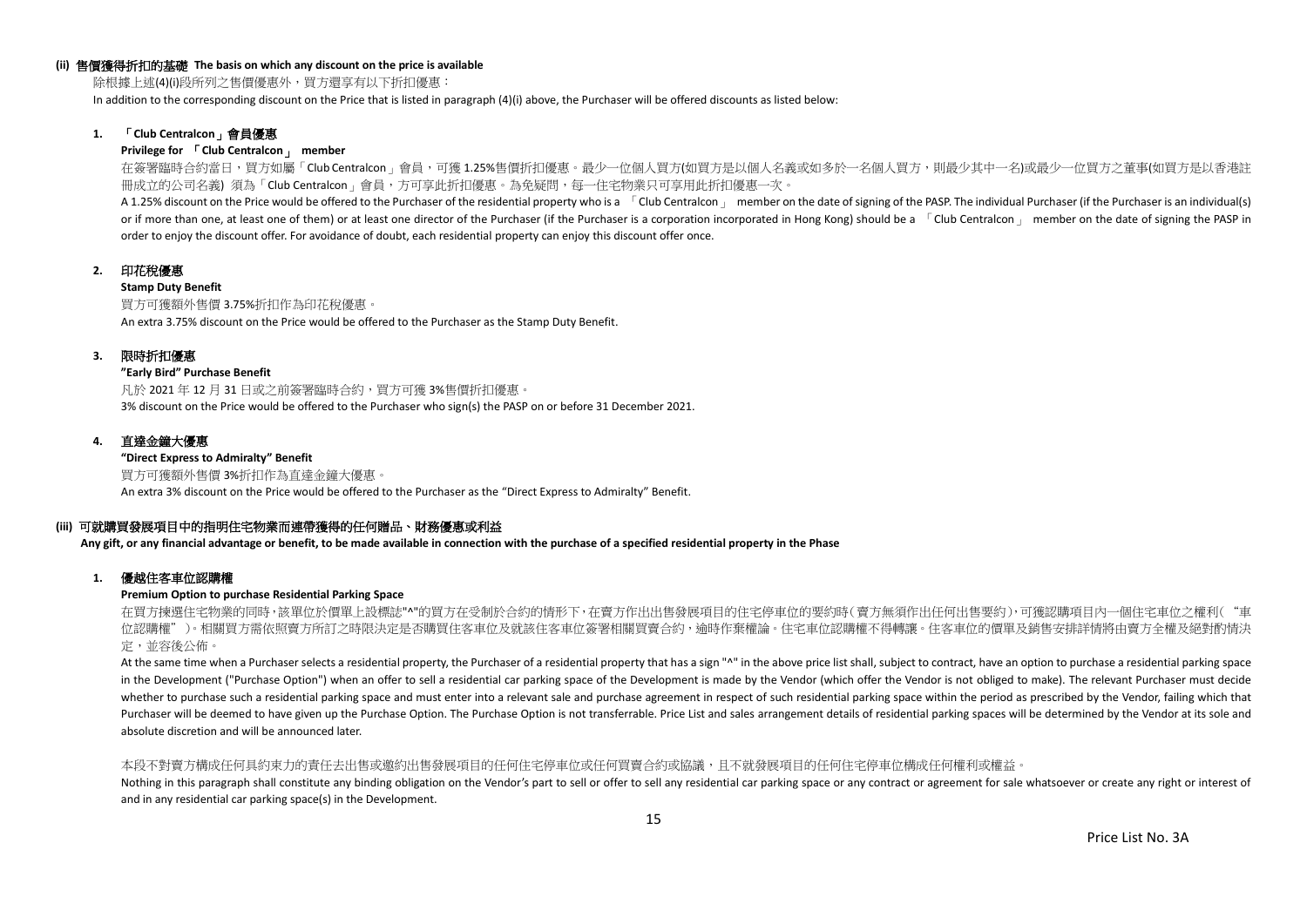#### **(ii)** 售價獲得折扣的基礎 **The basis on which any discount on the price is available**

除根據上述(4)(i)段所列之售價優惠外,買方還享有以下折扣優惠:

In addition to the corresponding discount on the Price that is listed in paragraph (4)(i) above, the Purchaser will be offered discounts as listed below:

## **1.** 「**Club Centralcon**」會員優惠

#### **Privilege for** 「**Club Centralcon**」 **member**

在簽署臨時合約當日,買方如屬「Club Centralcon」會員,可獲 1.25%售價折扣優惠。最少一位個人買方(如買方是以個人名義或如多於一名個人買方,則最少其中一名)或最少一位買方之董事(如買方是以香港註 冊成立的公司名義) 須為「Club Centralcon」會員,方可享此折扣優惠。為免疑問,每一住宅物業只可享用此折扣優惠一次。

A 1.25% discount on the Price would be offered to the Purchaser of the residential property who is a [Club Centralcon ] member on the date of signing of the PASP. The individual Purchaser (if the Purchaser is an individual or if more than one, at least one of them) or at least one director of the Purchaser (if the Purchaser is a corporation incorporated in Hong Kong) should be a  $\overline{C}$ Club Centralcon  $\overline{C}$  member on the date of signing order to enjoy the discount offer. For avoidance of doubt, each residential property can enjoy this discount offer once.

## **2.** 印花稅優惠

#### **Stamp Duty Benefit**

買方可獲額外售價 3.75%折扣作為印花稅優惠。 An extra 3.75% discount on the Price would be offered to the Purchaser as the Stamp Duty Benefit.

### **3.** 限時折扣優惠

#### **"Early Bird" Purchase Benefit**

凡於 2021 年 12 月 31 日或之前簽署臨時合約,買方可獲 3%售價折扣優惠。 3% discount on the Price would be offered to the Purchaser who sign(s) the PASP on or before 31 December 2021.

## **4.** 直達金鐘大優惠

**"Direct Express to Admiralty" Benefit** 買方可獲額外售價 3%折扣作為直達金鐘大優惠。 An extra 3% discount on the Price would be offered to the Purchaser as the "Direct Express to Admiralty" Benefit.

## **(iii)** 可就購買發展項目中的指明住宅物業而連帶獲得的任何贈品、財務優惠或利益

**Any gift, or any financial advantage or benefit, to be made available in connection with the purchase of a specified residential property in the Phase**

### **1.** 優越住客車位認購權

## **Premium Option to purchase Residential Parking Space**

在買方揀選住宅物業的同時,該單位於價單上設標誌"^"的買方在受制於合約的情形下,在賣方作出出售發展項目的住宅停車位的要約時(賣方無須作出任何出售要約),可獲認購項目內一個住宅車位之權利("車 位認購權")。相關買方需依照賣方所訂之時限決定是否購買住客車位及就該住客車位簽署相關買賣合約,逾時作棄權論。住宅車位認購權不得轉讓。住客車位的價單及銷售安排詳情將由賣方全權及絕對酌情決 定,並容後公佈。

At the same time when a Purchaser selects a residential property, the Purchaser of a residential property that has a sign "^" in the above price list shall, subject to contract, have an option to purchase a residential par in the Development ("Purchase Option") when an offer to sell a residential car parking space of the Development is made by the Vendor (which offer the Vendor is not obliged to make). The relevant Purchaser must decide whether to purchase such a residential parking space and must enter into a relevant sale and purchase agreement in respect of such residential parking space within the period as prescribed by the Vendor, failing which that Purchaser will be deemed to have given up the Purchase Option. The Purchase Option is not transferrable. Price List and sales arrangement details of residential parking spaces will be determined by the Vendor at its sole a absolute discretion and will be announced later.

#### 本段不對賣方構成任何具約束力的責任去出售或邀約出售發展項目的任何住宅停車位或任何買賣合約或協議,且不就發展項目的任何住宅停車位構成任何權利或權益。

Nothing in this paragraph shall constitute any binding obligation on the Vendor's part to sell or offer to sell any residential car parking space or any contract or agreement for sale whatsoever or create any right or inte and in any residential car parking space(s) in the Development.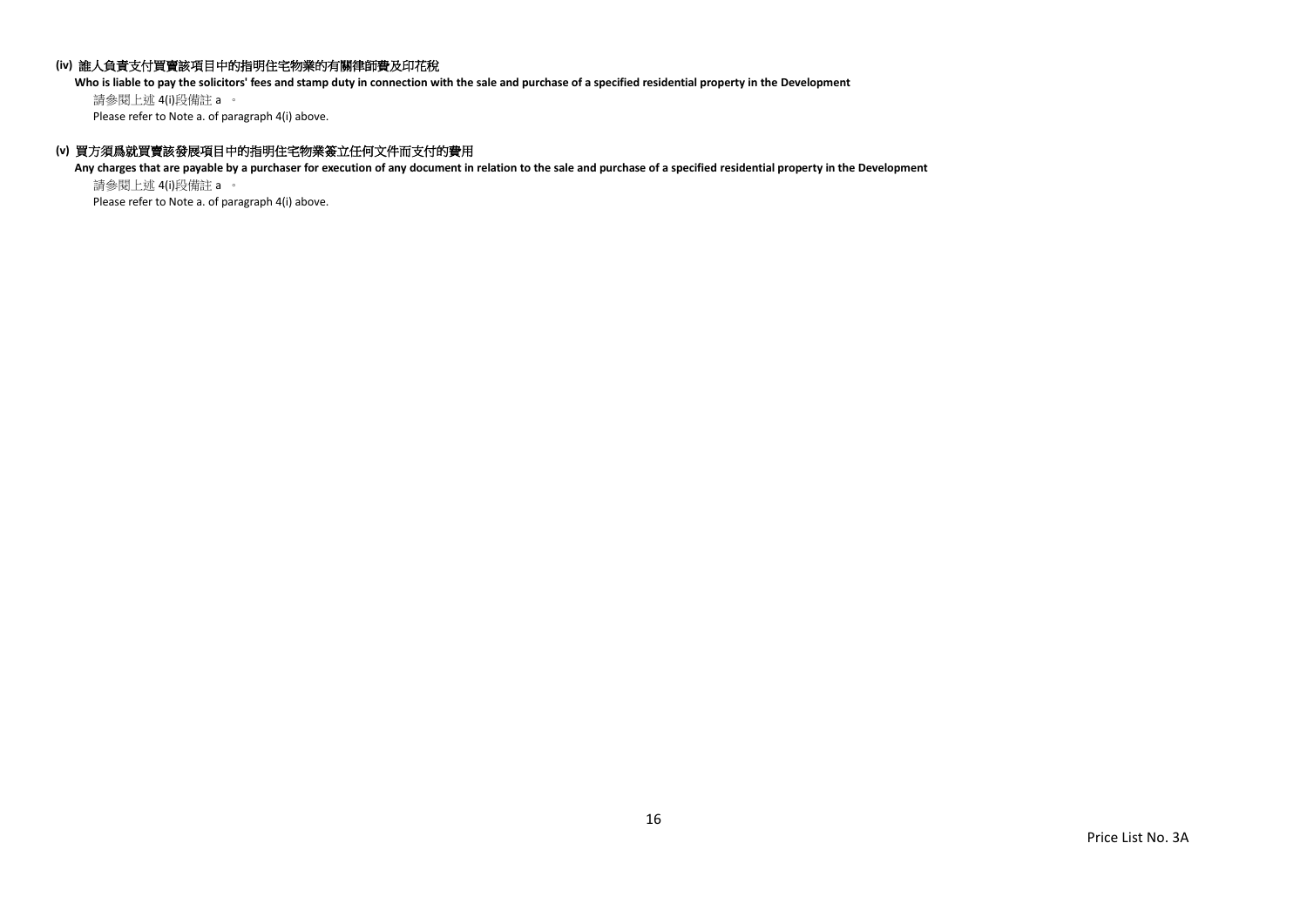## **(iv)** 誰人負責支付買賣該項目中的指明住宅物業的有關律師費及印花稅

**Who is liable to pay the solicitors' fees and stamp duty in connection with the sale and purchase of a specified residential property in the Development**

請參閱上述 4(i)段備註 a 。 Please refer to Note a. of paragraph 4(i) above.

## **(v)** 買方須爲就買賣該發展項目中的指明住宅物業簽立任何文件而支付的費用

**Any charges that are payable by a purchaser for execution of any document in relation to the sale and purchase of a specified residential property in the Development** 請參閱上述 4(i)段備註 a 。

Please refer to Note a. of paragraph 4(i) above.